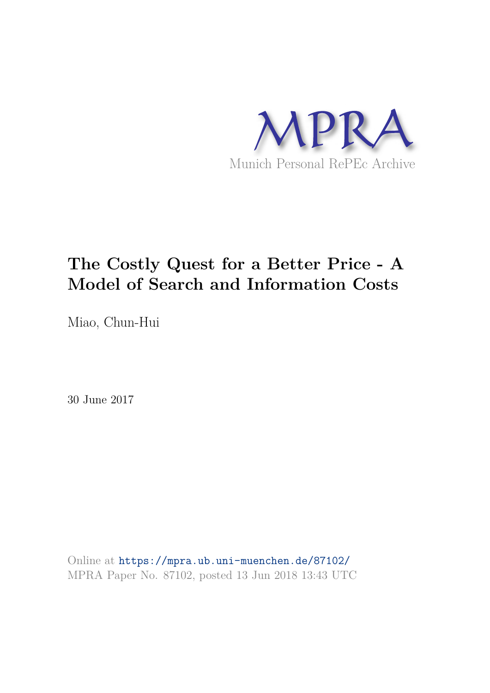

## **The Costly Quest for a Better Price - A Model of Search and Information Costs**

Miao, Chun-Hui

30 June 2017

Online at https://mpra.ub.uni-muenchen.de/87102/ MPRA Paper No. 87102, posted 13 Jun 2018 13:43 UTC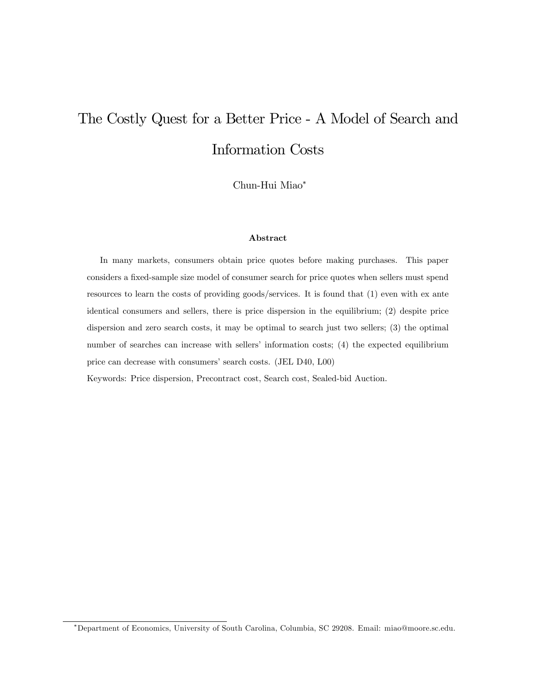# The Costly Quest for a Better Price - A Model of Search and Information Costs

Chun-Hui Miao

#### Abstract

In many markets, consumers obtain price quotes before making purchases. This paper considers a fixed-sample size model of consumer search for price quotes when sellers must spend resources to learn the costs of providing goods/services. It is found that (1) even with ex ante identical consumers and sellers, there is price dispersion in the equilibrium; (2) despite price dispersion and zero search costs, it may be optimal to search just two sellers; (3) the optimal number of searches can increase with sellers' information costs; (4) the expected equilibrium price can decrease with consumers' search costs. (JEL D40, L00) Keywords: Price dispersion, Precontract cost, Search cost, Sealed-bid Auction.

Department of Economics, University of South Carolina, Columbia, SC 29208. Email: miao@moore.sc.edu.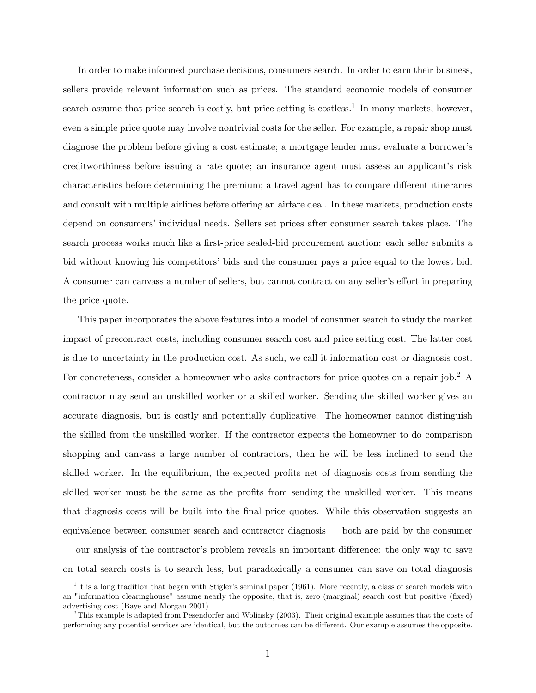In order to make informed purchase decisions, consumers search. In order to earn their business, sellers provide relevant information such as prices. The standard economic models of consumer search assume that price search is costly, but price setting is costless.<sup>1</sup> In many markets, however, even a simple price quote may involve nontrivial costs for the seller. For example, a repair shop must diagnose the problem before giving a cost estimate; a mortgage lender must evaluate a borrower's creditworthiness before issuing a rate quote; an insurance agent must assess an applicant's risk characteristics before determining the premium; a travel agent has to compare different itineraries and consult with multiple airlines before offering an airfare deal. In these markets, production costs depend on consumers' individual needs. Sellers set prices after consumer search takes place. The search process works much like a first-price sealed-bid procurement auction: each seller submits a bid without knowing his competitors' bids and the consumer pays a price equal to the lowest bid. A consumer can canvass a number of sellers, but cannot contract on any seller's effort in preparing the price quote.

This paper incorporates the above features into a model of consumer search to study the market impact of precontract costs, including consumer search cost and price setting cost. The latter cost is due to uncertainty in the production cost. As such, we call it information cost or diagnosis cost. For concreteness, consider a homeowner who asks contractors for price quotes on a repair job.<sup>2</sup> A contractor may send an unskilled worker or a skilled worker. Sending the skilled worker gives an accurate diagnosis, but is costly and potentially duplicative. The homeowner cannot distinguish the skilled from the unskilled worker. If the contractor expects the homeowner to do comparison shopping and canvass a large number of contractors, then he will be less inclined to send the skilled worker. In the equilibrium, the expected profits net of diagnosis costs from sending the skilled worker must be the same as the profits from sending the unskilled worker. This means that diagnosis costs will be built into the final price quotes. While this observation suggests an equivalence between consumer search and contractor diagnosis  $-$  both are paid by the consumer ó our analysis of the contractorís problem reveals an important di§erence: the only way to save on total search costs is to search less, but paradoxically a consumer can save on total diagnosis

<sup>&</sup>lt;sup>1</sup>It is a long tradition that began with Stigler's seminal paper (1961). More recently, a class of search models with an "information clearinghouse" assume nearly the opposite, that is, zero (marginal) search cost but positive (fixed) advertising cost (Baye and Morgan 2001).

<sup>&</sup>lt;sup>2</sup>This example is adapted from Pesendorfer and Wolinsky (2003). Their original example assumes that the costs of performing any potential services are identical, but the outcomes can be different. Our example assumes the opposite.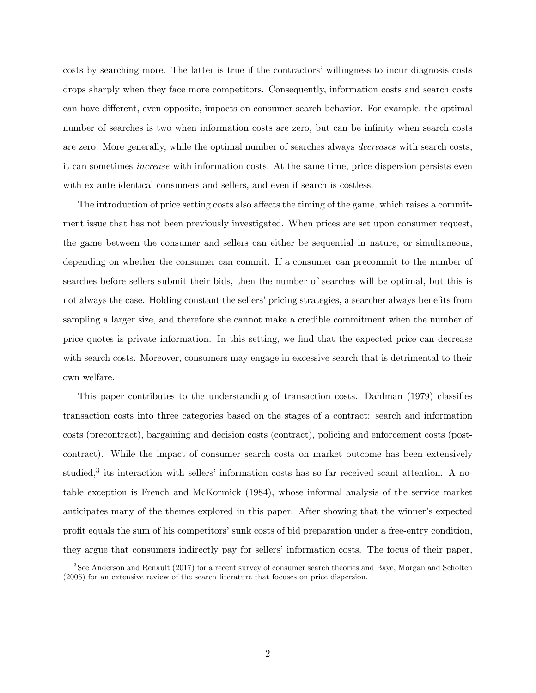costs by searching more. The latter is true if the contractors' willingness to incur diagnosis costs drops sharply when they face more competitors. Consequently, information costs and search costs can have different, even opposite, impacts on consumer search behavior. For example, the optimal number of searches is two when information costs are zero, but can be infinity when search costs are zero. More generally, while the optimal number of searches always decreases with search costs, it can sometimes increase with information costs. At the same time, price dispersion persists even with ex ante identical consumers and sellers, and even if search is costless.

The introduction of price setting costs also affects the timing of the game, which raises a commitment issue that has not been previously investigated. When prices are set upon consumer request, the game between the consumer and sellers can either be sequential in nature, or simultaneous, depending on whether the consumer can commit. If a consumer can precommit to the number of searches before sellers submit their bids, then the number of searches will be optimal, but this is not always the case. Holding constant the sellers' pricing strategies, a searcher always benefits from sampling a larger size, and therefore she cannot make a credible commitment when the number of price quotes is private information. In this setting, we Önd that the expected price can decrease with search costs. Moreover, consumers may engage in excessive search that is detrimental to their own welfare.

This paper contributes to the understanding of transaction costs. Dahlman (1979) classifies transaction costs into three categories based on the stages of a contract: search and information costs (precontract), bargaining and decision costs (contract), policing and enforcement costs (postcontract). While the impact of consumer search costs on market outcome has been extensively studied,<sup>3</sup> its interaction with sellers' information costs has so far received scant attention. A notable exception is French and McKormick (1984), whose informal analysis of the service market anticipates many of the themes explored in this paper. After showing that the winner's expected profit equals the sum of his competitors' sunk costs of bid preparation under a free-entry condition, they argue that consumers indirectly pay for sellersí information costs. The focus of their paper,

<sup>3</sup> See Anderson and Renault (2017) for a recent survey of consumer search theories and Baye, Morgan and Scholten (2006) for an extensive review of the search literature that focuses on price dispersion.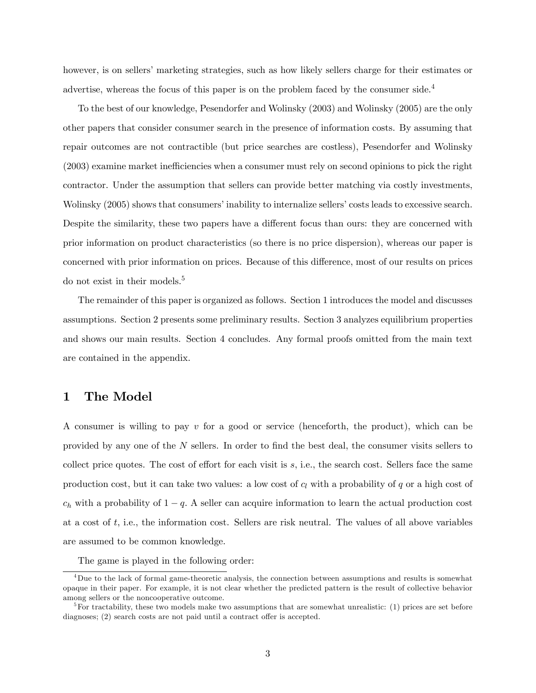however, is on sellers' marketing strategies, such as how likely sellers charge for their estimates or advertise, whereas the focus of this paper is on the problem faced by the consumer side.<sup>4</sup>

To the best of our knowledge, Pesendorfer and Wolinsky (2003) and Wolinsky (2005) are the only other papers that consider consumer search in the presence of information costs. By assuming that repair outcomes are not contractible (but price searches are costless), Pesendorfer and Wolinsky  $(2003)$  examine market inefficiencies when a consumer must rely on second opinions to pick the right contractor. Under the assumption that sellers can provide better matching via costly investments, Wolinsky (2005) shows that consumers' inability to internalize sellers' costs leads to excessive search. Despite the similarity, these two papers have a different focus than ours: they are concerned with prior information on product characteristics (so there is no price dispersion), whereas our paper is concerned with prior information on prices. Because of this difference, most of our results on prices do not exist in their models.<sup>5</sup>

The remainder of this paper is organized as follows. Section 1 introduces the model and discusses assumptions. Section 2 presents some preliminary results. Section 3 analyzes equilibrium properties and shows our main results. Section 4 concludes. Any formal proofs omitted from the main text are contained in the appendix.

### 1 The Model

A consumer is willing to pay  $v$  for a good or service (henceforth, the product), which can be provided by any one of the  $N$  sellers. In order to find the best deal, the consumer visits sellers to collect price quotes. The cost of effort for each visit is  $s$ , i.e., the search cost. Sellers face the same production cost, but it can take two values: a low cost of  $c_l$  with a probability of  $q$  or a high cost of  $c_h$  with a probability of  $1 - q$ . A seller can acquire information to learn the actual production cost at a cost of t; i.e., the information cost. Sellers are risk neutral. The values of all above variables are assumed to be common knowledge.

The game is played in the following order:

<sup>4</sup>Due to the lack of formal game-theoretic analysis, the connection between assumptions and results is somewhat opaque in their paper. For example, it is not clear whether the predicted pattern is the result of collective behavior among sellers or the noncooperative outcome.

 ${}^{5}$ For tractability, these two models make two assumptions that are somewhat unrealistic: (1) prices are set before diagnoses;  $(2)$  search costs are not paid until a contract offer is accepted.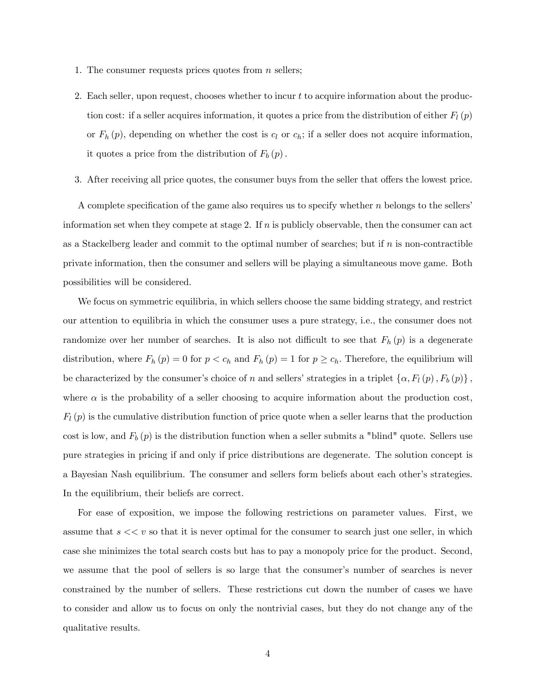- 1. The consumer requests prices quotes from  $n$  sellers;
- 2. Each seller, upon request, chooses whether to incur t to acquire information about the production cost: if a seller acquires information, it quotes a price from the distribution of either  $F_l(p)$ or  $F_h(p)$ , depending on whether the cost is  $c_l$  or  $c_h$ ; if a seller does not acquire information, it quotes a price from the distribution of  $F_b(p)$ .
- 3. After receiving all price quotes, the consumer buys from the seller that offers the lowest price.

A complete specification of the game also requires us to specify whether  $n$  belongs to the sellers information set when they compete at stage 2. If  $n$  is publicly observable, then the consumer can act as a Stackelberg leader and commit to the optimal number of searches; but if n is non-contractible private information, then the consumer and sellers will be playing a simultaneous move game. Both possibilities will be considered.

We focus on symmetric equilibria, in which sellers choose the same bidding strategy, and restrict our attention to equilibria in which the consumer uses a pure strategy, i.e., the consumer does not randomize over her number of searches. It is also not difficult to see that  $F_h(p)$  is a degenerate distribution, where  $F_h(p) = 0$  for  $p < c_h$  and  $F_h(p) = 1$  for  $p \geq c_h$ . Therefore, the equilibrium will be characterized by the consumer's choice of n and sellers' strategies in a triplet  $\{\alpha, F_l (p), F_b (p)\}\,$ where  $\alpha$  is the probability of a seller choosing to acquire information about the production cost,  $F_l(p)$  is the cumulative distribution function of price quote when a seller learns that the production cost is low, and  $F_b(p)$  is the distribution function when a seller submits a "blind" quote. Sellers use pure strategies in pricing if and only if price distributions are degenerate. The solution concept is a Bayesian Nash equilibrium. The consumer and sellers form beliefs about each other's strategies. In the equilibrium, their beliefs are correct.

For ease of exposition, we impose the following restrictions on parameter values. First, we assume that  $s \ll v$  so that it is never optimal for the consumer to search just one seller, in which case she minimizes the total search costs but has to pay a monopoly price for the product. Second, we assume that the pool of sellers is so large that the consumer's number of searches is never constrained by the number of sellers. These restrictions cut down the number of cases we have to consider and allow us to focus on only the nontrivial cases, but they do not change any of the qualitative results.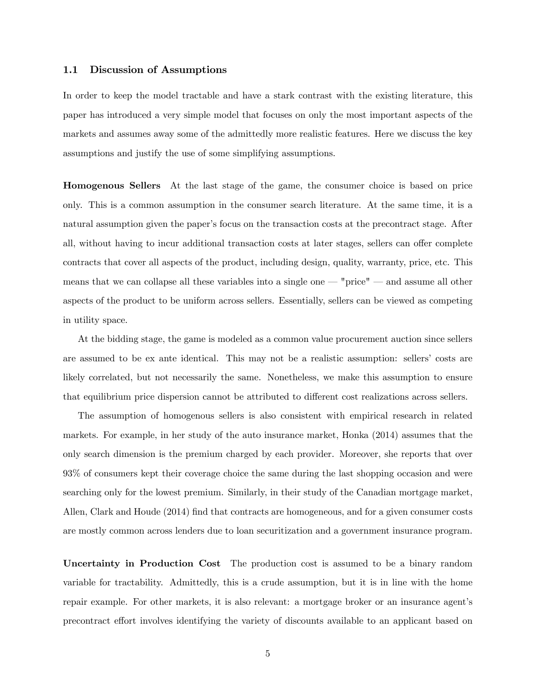#### 1.1 Discussion of Assumptions

In order to keep the model tractable and have a stark contrast with the existing literature, this paper has introduced a very simple model that focuses on only the most important aspects of the markets and assumes away some of the admittedly more realistic features. Here we discuss the key assumptions and justify the use of some simplifying assumptions.

Homogenous Sellers At the last stage of the game, the consumer choice is based on price only. This is a common assumption in the consumer search literature. At the same time, it is a natural assumption given the paper's focus on the transaction costs at the precontract stage. After all, without having to incur additional transaction costs at later stages, sellers can offer complete contracts that cover all aspects of the product, including design, quality, warranty, price, etc. This means that we can collapse all these variables into a single one  $-$  "price"  $-$  and assume all other aspects of the product to be uniform across sellers. Essentially, sellers can be viewed as competing in utility space.

At the bidding stage, the game is modeled as a common value procurement auction since sellers are assumed to be ex ante identical. This may not be a realistic assumption: sellers' costs are likely correlated, but not necessarily the same. Nonetheless, we make this assumption to ensure that equilibrium price dispersion cannot be attributed to different cost realizations across sellers.

The assumption of homogenous sellers is also consistent with empirical research in related markets. For example, in her study of the auto insurance market, Honka (2014) assumes that the only search dimension is the premium charged by each provider. Moreover, she reports that over 93% of consumers kept their coverage choice the same during the last shopping occasion and were searching only for the lowest premium. Similarly, in their study of the Canadian mortgage market, Allen, Clark and Houde (2014) find that contracts are homogeneous, and for a given consumer costs are mostly common across lenders due to loan securitization and a government insurance program.

Uncertainty in Production Cost The production cost is assumed to be a binary random variable for tractability. Admittedly, this is a crude assumption, but it is in line with the home repair example. For other markets, it is also relevant: a mortgage broker or an insurance agentís precontract effort involves identifying the variety of discounts available to an applicant based on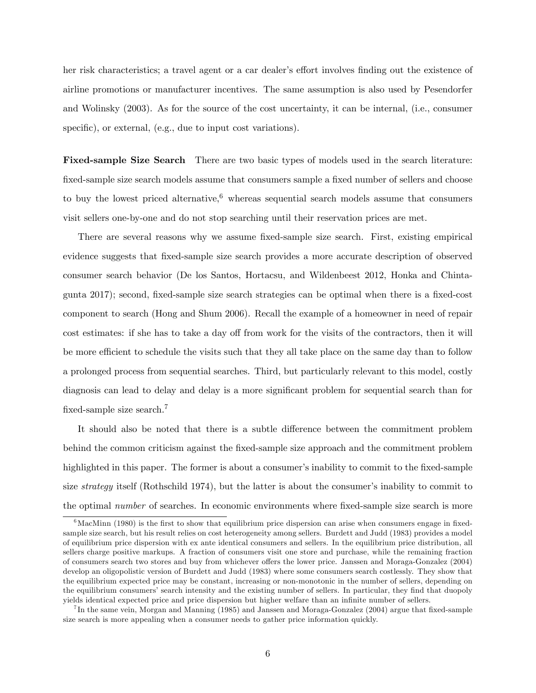her risk characteristics; a travel agent or a car dealer's effort involves finding out the existence of airline promotions or manufacturer incentives. The same assumption is also used by Pesendorfer and Wolinsky (2003). As for the source of the cost uncertainty, it can be internal, (i.e., consumer specific), or external, (e.g., due to input cost variations).

Fixed-sample Size Search There are two basic types of models used in the search literature: fixed-sample size search models assume that consumers sample a fixed number of sellers and choose to buy the lowest priced alternative, whereas sequential search models assume that consumers visit sellers one-by-one and do not stop searching until their reservation prices are met.

There are several reasons why we assume fixed-sample size search. First, existing empirical evidence suggests that Öxed-sample size search provides a more accurate description of observed consumer search behavior (De los Santos, Hortacsu, and Wildenbeest 2012, Honka and Chintagunta 2017); second, fixed-sample size search strategies can be optimal when there is a fixed-cost component to search (Hong and Shum 2006). Recall the example of a homeowner in need of repair cost estimates: if she has to take a day off from work for the visits of the contractors, then it will be more efficient to schedule the visits such that they all take place on the same day than to follow a prolonged process from sequential searches. Third, but particularly relevant to this model, costly diagnosis can lead to delay and delay is a more significant problem for sequential search than for fixed-sample size search.<sup>7</sup>

It should also be noted that there is a subtle difference between the commitment problem behind the common criticism against the fixed-sample size approach and the commitment problem highlighted in this paper. The former is about a consumer's inability to commit to the fixed-sample size *strategy* itself (Rothschild 1974), but the latter is about the consumer's inability to commit to the optimal number of searches. In economic environments where fixed-sample size search is more

 $6$ MacMinn (1980) is the first to show that equilibrium price dispersion can arise when consumers engage in fixedsample size search, but his result relies on cost heterogeneity among sellers. Burdett and Judd (1983) provides a model of equilibrium price dispersion with ex ante identical consumers and sellers. In the equilibrium price distribution, all sellers charge positive markups. A fraction of consumers visit one store and purchase, while the remaining fraction of consumers search two stores and buy from whichever offers the lower price. Janssen and Moraga-Gonzalez (2004) develop an oligopolistic version of Burdett and Judd (1983) where some consumers search costlessly. They show that the equilibrium expected price may be constant, increasing or non-monotonic in the number of sellers, depending on the equilibrium consumers' search intensity and the existing number of sellers. In particular, they find that duopoly yields identical expected price and price dispersion but higher welfare than an infinite number of sellers.

<sup>&</sup>lt;sup>7</sup>In the same vein, Morgan and Manning (1985) and Janssen and Moraga-Gonzalez (2004) argue that fixed-sample size search is more appealing when a consumer needs to gather price information quickly.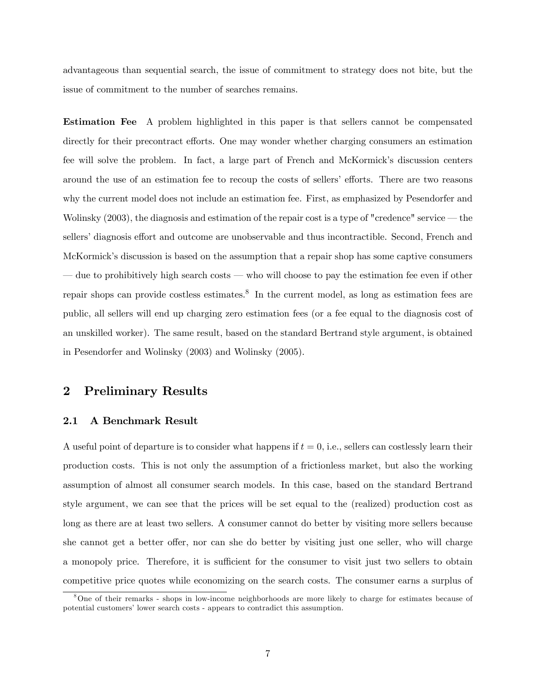advantageous than sequential search, the issue of commitment to strategy does not bite, but the issue of commitment to the number of searches remains.

Estimation Fee A problem highlighted in this paper is that sellers cannot be compensated directly for their precontract efforts. One may wonder whether charging consumers an estimation fee will solve the problem. In fact, a large part of French and McKormick's discussion centers around the use of an estimation fee to recoup the costs of sellers' efforts. There are two reasons why the current model does not include an estimation fee. First, as emphasized by Pesendorfer and Wolinsky  $(2003)$ , the diagnosis and estimation of the repair cost is a type of "credence" service  $-$  the sellers' diagnosis effort and outcome are unobservable and thus incontractible. Second, French and McKormick's discussion is based on the assumption that a repair shop has some captive consumers due to prohibitively high search costs  $\sim$  who will choose to pay the estimation fee even if other repair shops can provide costless estimates.<sup>8</sup> In the current model, as long as estimation fees are public, all sellers will end up charging zero estimation fees (or a fee equal to the diagnosis cost of an unskilled worker). The same result, based on the standard Bertrand style argument, is obtained in Pesendorfer and Wolinsky (2003) and Wolinsky (2005).

### 2 Preliminary Results

#### 2.1 A Benchmark Result

A useful point of departure is to consider what happens if  $t = 0$ , i.e., sellers can costlessly learn their production costs. This is not only the assumption of a frictionless market, but also the working assumption of almost all consumer search models. In this case, based on the standard Bertrand style argument, we can see that the prices will be set equal to the (realized) production cost as long as there are at least two sellers. A consumer cannot do better by visiting more sellers because she cannot get a better offer, nor can she do better by visiting just one seller, who will charge a monopoly price. Therefore, it is sufficient for the consumer to visit just two sellers to obtain competitive price quotes while economizing on the search costs. The consumer earns a surplus of

<sup>8</sup>One of their remarks - shops in low-income neighborhoods are more likely to charge for estimates because of potential customers' lower search costs - appears to contradict this assumption.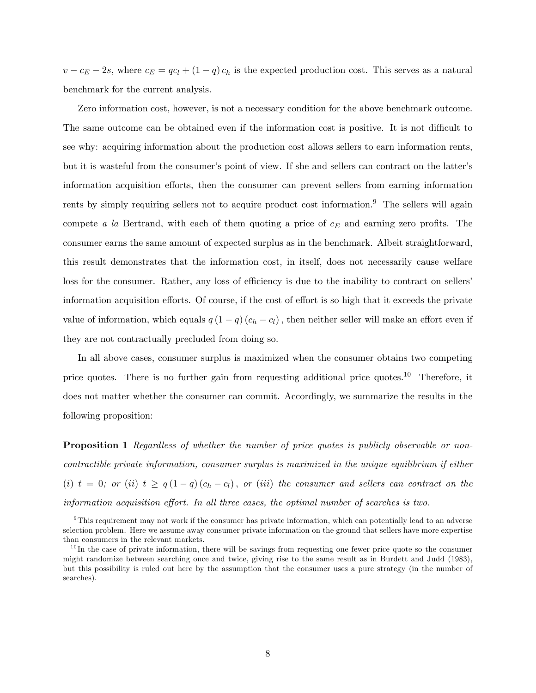$v - c_E - 2s$ , where  $c_E = qc_l + (1 - q)c_h$  is the expected production cost. This serves as a natural benchmark for the current analysis.

Zero information cost, however, is not a necessary condition for the above benchmark outcome. The same outcome can be obtained even if the information cost is positive. It is not difficult to see why: acquiring information about the production cost allows sellers to earn information rents, but it is wasteful from the consumer's point of view. If she and sellers can contract on the latter's information acquisition efforts, then the consumer can prevent sellers from earning information rents by simply requiring sellers not to acquire product cost information.<sup>9</sup> The sellers will again compete a la Bertrand, with each of them quoting a price of  $c_E$  and earning zero profits. The consumer earns the same amount of expected surplus as in the benchmark. Albeit straightforward, this result demonstrates that the information cost, in itself, does not necessarily cause welfare loss for the consumer. Rather, any loss of efficiency is due to the inability to contract on sellers' information acquisition efforts. Of course, if the cost of effort is so high that it exceeds the private value of information, which equals  $q(1 - q)(c_h - c_l)$ , then neither seller will make an effort even if they are not contractually precluded from doing so.

In all above cases, consumer surplus is maximized when the consumer obtains two competing price quotes. There is no further gain from requesting additional price quotes.<sup>10</sup> Therefore, it does not matter whether the consumer can commit. Accordingly, we summarize the results in the following proposition:

**Proposition 1** Regardless of whether the number of price quotes is publicly observable or noncontractible private information, consumer surplus is maximized in the unique equilibrium if either (i)  $t = 0$ ; or (ii)  $t \ge q(1 - q)(c_h - c_l)$ , or (iii) the consumer and sellers can contract on the information acquisition effort. In all three cases, the optimal number of searches is two.

 $9$ This requirement may not work if the consumer has private information, which can potentially lead to an adverse selection problem. Here we assume away consumer private information on the ground that sellers have more expertise than consumers in the relevant markets.

 $10$  In the case of private information, there will be savings from requesting one fewer price quote so the consumer might randomize between searching once and twice, giving rise to the same result as in Burdett and Judd (1983), but this possibility is ruled out here by the assumption that the consumer uses a pure strategy (in the number of searches).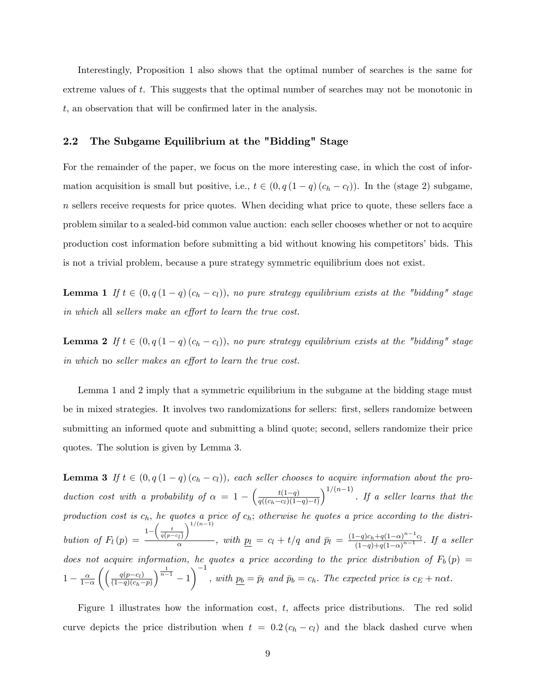Interestingly, Proposition 1 also shows that the optimal number of searches is the same for extreme values of t. This suggests that the optimal number of searches may not be monotonic in  $t$ , an observation that will be confirmed later in the analysis.

#### 2.2 The Subgame Equilibrium at the "Bidding" Stage

For the remainder of the paper, we focus on the more interesting case, in which the cost of information acquisition is small but positive, i.e.,  $t \in (0, q(1 - q)(c_h - c_l))$ . In the (stage 2) subgame, n sellers receive requests for price quotes. When deciding what price to quote, these sellers face a problem similar to a sealed-bid common value auction: each seller chooses whether or not to acquire production cost information before submitting a bid without knowing his competitorsí bids. This is not a trivial problem, because a pure strategy symmetric equilibrium does not exist.

**Lemma 1** If  $t \in (0, q(1 - q)(c_h - c_l))$ , no pure strategy equilibrium exists at the "bidding" stage in which all sellers make an effort to learn the true cost.

**Lemma 2** If  $t \in (0, q(1 - q)(c_h - c_l))$ , no pure strategy equilibrium exists at the "bidding" stage  $\emph{in which}$  no seller makes an effort to learn the true cost.

Lemma 1 and 2 imply that a symmetric equilibrium in the subgame at the bidding stage must be in mixed strategies. It involves two randomizations for sellers: first, sellers randomize between submitting an informed quote and submitting a blind quote; second, sellers randomize their price quotes. The solution is given by Lemma 3.

**Lemma 3** If  $t \in (0, q(1 - q)(c_h - c_l))$ , each seller chooses to acquire information about the production cost with a probability of  $\alpha = 1 - \left( \frac{t(1-q)}{q((c_1-c_1)(1-q))} \right)$  $q((c_h-c_l)(1-q)-t)$  $\int_0^{1/(n-1)}$ . If a seller learns that the production cost is  $c_h$ , he quotes a price of  $c_h$ ; otherwise he quotes a price according to the distribution of  $F_l(p) =$  $1 - \left(\frac{t}{q(p-c_l)}\right)$  $\sqrt{1/(n-1)}$  $\frac{m}{\alpha}$ , with  $p_l = c_l + t/q$  and  $\bar{p}_l = \frac{(1-q)c_h + q(1-\alpha)^{n-1}c_l}{(1-q) + q(1-\alpha)^{n-1}}$  $\frac{-q)c_h+q(1-\alpha)}{(1-q)+q(1-\alpha)^{n-1}}$ . If a seller does not acquire information, he quotes a price according to the price distribution of  $F_b(p)$  =  $1-\frac{\alpha}{1-\alpha}$  $1-\alpha$  $\int \int q(p-c_l)$  $(1-q)(c_h-p)$  $\left( \frac{1}{n-1} - 1 \right)^{-1}$ , with  $p_b = \bar{p}_l$  and  $\bar{p}_b = c_h$ . The expected price is  $c_E + n\alpha t$ .

Figure 1 illustrates how the information cost,  $t$ , affects price distributions. The red solid curve depicts the price distribution when  $t = 0.2 (c_h - c_l)$  and the black dashed curve when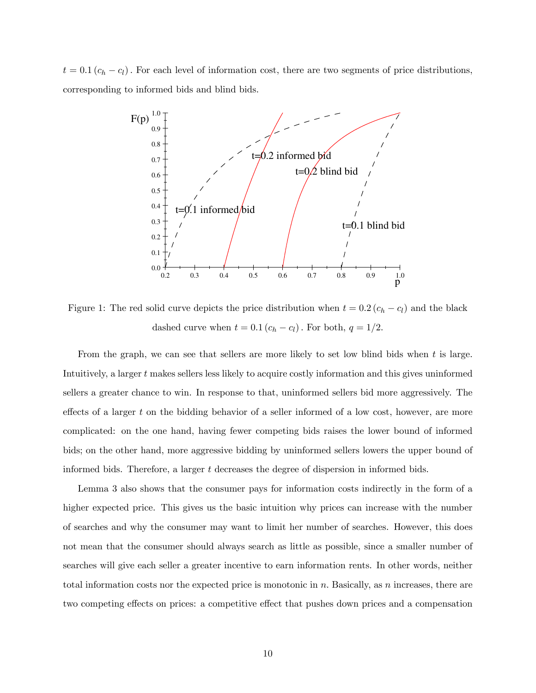$t = 0.1 (c_h - c_l)$ . For each level of information cost, there are two segments of price distributions, corresponding to informed bids and blind bids.



Figure 1: The red solid curve depicts the price distribution when  $t = 0.2 (c_h - c_l)$  and the black dashed curve when  $t = 0.1 (c_h - c_l)$ . For both,  $q = 1/2$ .

From the graph, we can see that sellers are more likely to set low blind bids when t is large. Intuitively, a larger t makes sellers less likely to acquire costly information and this gives uninformed sellers a greater chance to win. In response to that, uninformed sellers bid more aggressively. The effects of a larger t on the bidding behavior of a seller informed of a low cost, however, are more complicated: on the one hand, having fewer competing bids raises the lower bound of informed bids; on the other hand, more aggressive bidding by uninformed sellers lowers the upper bound of informed bids. Therefore, a larger t decreases the degree of dispersion in informed bids.

Lemma 3 also shows that the consumer pays for information costs indirectly in the form of a higher expected price. This gives us the basic intuition why prices can increase with the number of searches and why the consumer may want to limit her number of searches. However, this does not mean that the consumer should always search as little as possible, since a smaller number of searches will give each seller a greater incentive to earn information rents. In other words, neither total information costs nor the expected price is monotonic in  $n$ . Basically, as  $n$  increases, there are two competing effects on prices: a competitive effect that pushes down prices and a compensation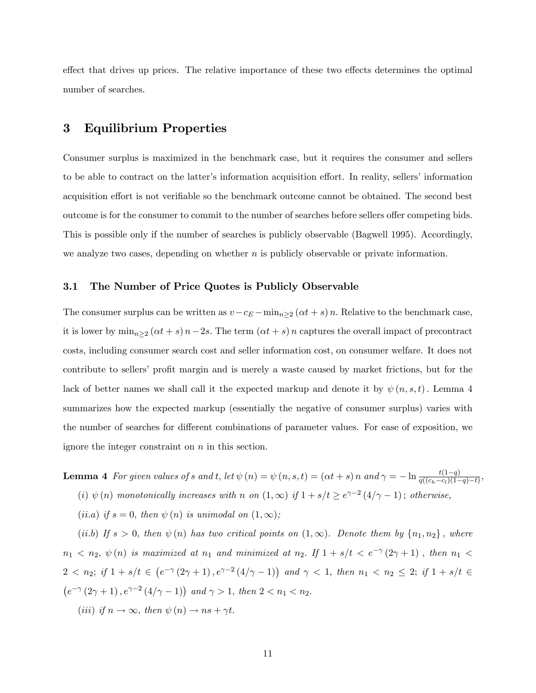effect that drives up prices. The relative importance of these two effects determines the optimal number of searches.

## 3 Equilibrium Properties

Consumer surplus is maximized in the benchmark case, but it requires the consumer and sellers to be able to contract on the latter's information acquisition effort. In reality, sellers' information acquisition effort is not verifiable so the benchmark outcome cannot be obtained. The second best outcome is for the consumer to commit to the number of searches before sellers offer competing bids. This is possible only if the number of searches is publicly observable (Bagwell 1995). Accordingly, we analyze two cases, depending on whether  $n$  is publicly observable or private information.

#### 3.1 The Number of Price Quotes is Publicly Observable

The consumer surplus can be written as  $v-c_E - \min_{n\geq 2} (\alpha t + s) n$ . Relative to the benchmark case, it is lower by  $\min_{n\geq 2} (\alpha t + s) n - 2s$ . The term  $(\alpha t + s) n$  captures the overall impact of precontract costs, including consumer search cost and seller information cost, on consumer welfare. It does not contribute to sellers' profit margin and is merely a waste caused by market frictions, but for the lack of better names we shall call it the expected markup and denote it by  $\psi(n, s, t)$ . Lemma 4 summarizes how the expected markup (essentially the negative of consumer surplus) varies with the number of searches for different combinations of parameter values. For ease of exposition, we ignore the integer constraint on  $n$  in this section.

**Lemma 4** For given values of s and t, let  $\psi(n) = \psi(n, s, t) = (\alpha t + s) n$  and  $\gamma = -\ln \frac{t(1-q)}{q((c_h - c_l)(1-q)-t)}$ , (i)  $\psi(n)$  monotonically increases with n on  $(1,\infty)$  if  $1 + s/t \geq e^{\gamma-2}(4/\gamma-1)$ ; otherwise,

(ii.a) if  $s = 0$ , then  $\psi(n)$  is unimodal on  $(1,\infty);$ 

(ii.b) If  $s > 0$ , then  $\psi(n)$  has two critical points on  $(1,\infty)$ . Denote them by  $\{n_1,n_2\}$ , where  $n_1 < n_2, \psi(n)$  is maximized at  $n_1$  and minimized at  $n_2$ . If  $1 + s/t < e^{-\gamma}(2\gamma + 1)$ , then  $n_1 <$  $2 < n_2$ ; if  $1 + s/t \in (e^{-\gamma}(2\gamma + 1), e^{\gamma - 2}(4/\gamma - 1))$  and  $\gamma < 1$ , then  $n_1 < n_2 \leq 2$ ; if  $1 + s/t \in$  $(e^{-\gamma}(2\gamma+1), e^{\gamma-2}(4/\gamma-1))$  and  $\gamma > 1$ , then  $2 < n_1 < n_2$ . (*iii*) if  $n \to \infty$ , then  $\psi(n) \to ns + \gamma t$ .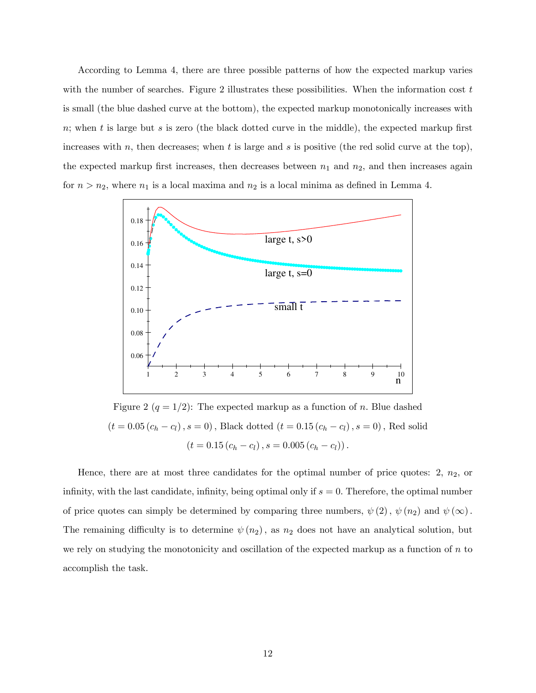According to Lemma 4, there are three possible patterns of how the expected markup varies with the number of searches. Figure 2 illustrates these possibilities. When the information cost  $t$ is small (the blue dashed curve at the bottom), the expected markup monotonically increases with n; when t is large but s is zero (the black dotted curve in the middle), the expected markup first increases with n, then decreases; when t is large and s is positive (the red solid curve at the top), the expected markup first increases, then decreases between  $n_1$  and  $n_2$ , and then increases again for  $n > n_2$ , where  $n_1$  is a local maxima and  $n_2$  is a local minima as defined in Lemma 4.



Figure 2  $(q = 1/2)$ : The expected markup as a function of n. Blue dashed  $\left(t=0.05\left(c_{h}-c_{l}\right), s=0\right),$  Black dotted  $\left(t=0.15\left(c_{h}-c_{l}\right), s=0\right),$  Red solid  $(t = 0.15 (c_h - c_l), s = 0.005 (c_h - c_l)).$ 

Hence, there are at most three candidates for the optimal number of price quotes:  $2, n_2$ , or infinity, with the last candidate, infinity, being optimal only if  $s = 0$ . Therefore, the optimal number of price quotes can simply be determined by comparing three numbers,  $\psi(2)$ ,  $\psi(n_2)$  and  $\psi(\infty)$ . The remaining difficulty is to determine  $\psi(n_2)$ , as  $n_2$  does not have an analytical solution, but we rely on studying the monotonicity and oscillation of the expected markup as a function of  $n$  to accomplish the task.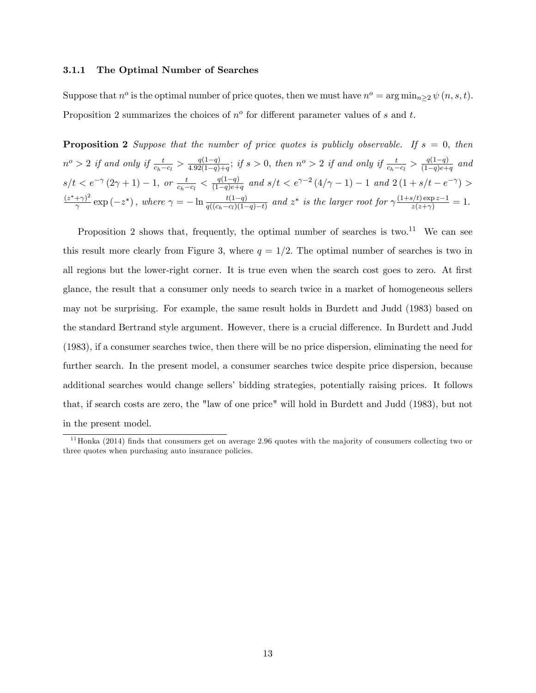#### 3.1.1 The Optimal Number of Searches

Suppose that  $n^o$  is the optimal number of price quotes, then we must have  $n^o = \arg \min_{n \geq 2} \psi(n, s, t)$ . Proposition 2 summarizes the choices of  $n^o$  for different parameter values of s and t.

**Proposition 2** Suppose that the number of price quotes is publicly observable. If  $s = 0$ , then  $n^{o} > 2$  if and only if  $\frac{t}{c_h - c_l} > \frac{q(1-q)}{4.92(1-q)}$  $\frac{q(1-q)}{4.92(1-q)+q}$ ; if  $s > 0$ , then  $n^o > 2$  if and only if  $\frac{t}{c_h-c_l} > \frac{q(1-q)}{(1-q)e+q}$  $\frac{q(1-q)}{(1-q)e+q}$  and  $s/t < e^{-\gamma} (2\gamma + 1) - 1$ , or  $\frac{t}{c_h - c_l} < \frac{q(1-q)}{(1-q)e + 1}$  $\frac{q(1-q)}{(1-q)e+q}$  and  $s/t < e^{\gamma-2}(4/\gamma-1) - 1$  and  $2(1 + s/t - e^{-\gamma}) >$  $(z^*+\gamma)^2$  $\frac{(-\gamma)^2}{\gamma} \exp(-z^*)$ , where  $\gamma = -\ln \frac{t(1-q)}{q((c_h-c_l)(1-q)-t)}$  and  $z^*$  is the larger root for  $\gamma \frac{(1+s/t) \exp z - 1}{z(z+\gamma)} = 1$ .

Proposition 2 shows that, frequently, the optimal number of searches is two.<sup>11</sup> We can see this result more clearly from Figure 3, where  $q = 1/2$ . The optimal number of searches is two in all regions but the lower-right corner. It is true even when the search cost goes to zero. At first glance, the result that a consumer only needs to search twice in a market of homogeneous sellers may not be surprising. For example, the same result holds in Burdett and Judd (1983) based on the standard Bertrand style argument. However, there is a crucial difference. In Burdett and Judd (1983), if a consumer searches twice, then there will be no price dispersion, eliminating the need for further search. In the present model, a consumer searches twice despite price dispersion, because additional searches would change sellers' bidding strategies, potentially raising prices. It follows that, if search costs are zero, the "law of one price" will hold in Burdett and Judd (1983), but not in the present model.

 $11$  Honka (2014) finds that consumers get on average 2.96 quotes with the majority of consumers collecting two or three quotes when purchasing auto insurance policies.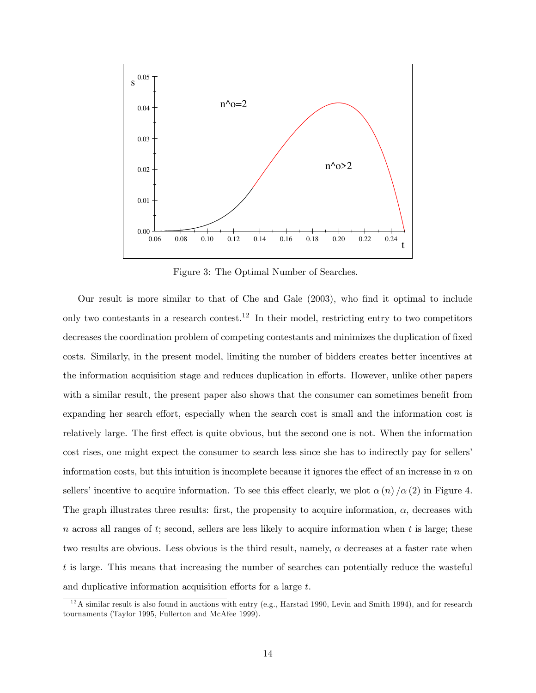

Figure 3: The Optimal Number of Searches.

Our result is more similar to that of Che and Gale (2003), who find it optimal to include only two contestants in a research contest.<sup>12</sup> In their model, restricting entry to two competitors decreases the coordination problem of competing contestants and minimizes the duplication of fixed costs. Similarly, in the present model, limiting the number of bidders creates better incentives at the information acquisition stage and reduces duplication in efforts. However, unlike other papers with a similar result, the present paper also shows that the consumer can sometimes benefit from expanding her search effort, especially when the search cost is small and the information cost is relatively large. The first effect is quite obvious, but the second one is not. When the information cost rises, one might expect the consumer to search less since she has to indirectly pay for sellers' information costs, but this intuition is incomplete because it ignores the effect of an increase in  $n$  on sellers' incentive to acquire information. To see this effect clearly, we plot  $\alpha(n)/\alpha(2)$  in Figure 4. The graph illustrates three results: first, the propensity to acquire information,  $\alpha$ , decreases with  $n$  across all ranges of t; second, sellers are less likely to acquire information when t is large; these two results are obvious. Less obvious is the third result, namely,  $\alpha$  decreases at a faster rate when t is large. This means that increasing the number of searches can potentially reduce the wasteful and duplicative information acquisition efforts for a large  $t$ .

 $12$ A similar result is also found in auctions with entry (e.g., Harstad 1990, Levin and Smith 1994), and for research tournaments (Taylor 1995, Fullerton and McAfee 1999).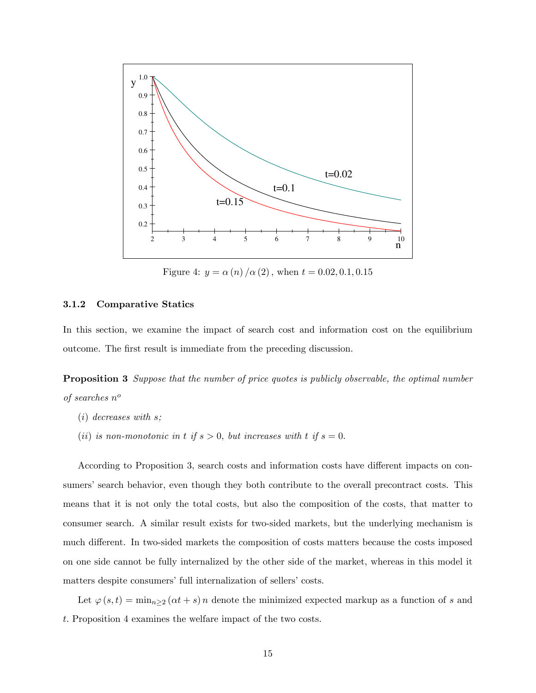

Figure 4:  $y = \alpha(n)/\alpha(2)$ , when  $t = 0.02, 0.1, 0.15$ 

#### 3.1.2 Comparative Statics

In this section, we examine the impact of search cost and information cost on the equilibrium outcome. The first result is immediate from the preceding discussion.

**Proposition 3** Suppose that the number of price quotes is publicly observable, the optimal number of searches  $n^o$ 

- $(i)$  decreases with s;
- (ii) is non-monotonic in t if  $s > 0$ , but increases with t if  $s = 0$ .

According to Proposition 3, search costs and information costs have different impacts on consumers' search behavior, even though they both contribute to the overall precontract costs. This means that it is not only the total costs, but also the composition of the costs, that matter to consumer search. A similar result exists for two-sided markets, but the underlying mechanism is much different. In two-sided markets the composition of costs matters because the costs imposed on one side cannot be fully internalized by the other side of the market, whereas in this model it matters despite consumers' full internalization of sellers' costs.

Let  $\varphi(s,t) = \min_{n \geq 2} (\alpha t + s) n$  denote the minimized expected markup as a function of s and t: Proposition 4 examines the welfare impact of the two costs.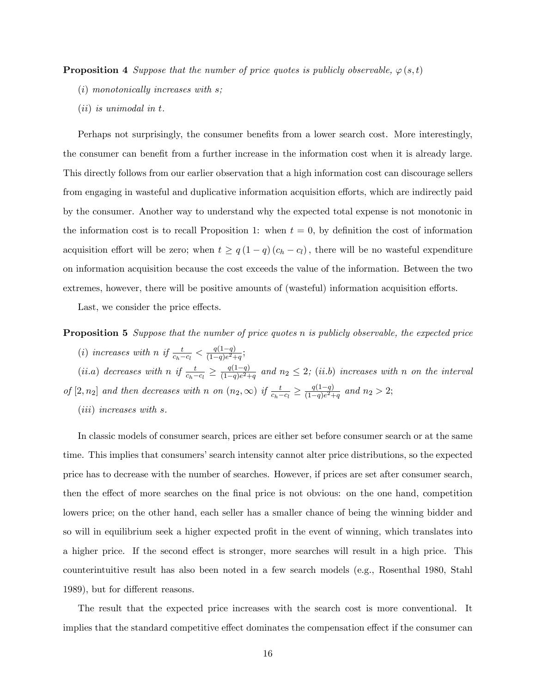**Proposition 4** Suppose that the number of price quotes is publicly observable,  $\varphi(s,t)$ 

- (i) monotonically increases with s;
- (ii) is unimodal in t.

Perhaps not surprisingly, the consumer benefits from a lower search cost. More interestingly, the consumer can benefit from a further increase in the information cost when it is already large. This directly follows from our earlier observation that a high information cost can discourage sellers from engaging in wasteful and duplicative information acquisition efforts, which are indirectly paid by the consumer. Another way to understand why the expected total expense is not monotonic in the information cost is to recall Proposition 1: when  $t = 0$ , by definition the cost of information acquisition effort will be zero; when  $t \ge q(1 - q)(c_h - c_l)$ , there will be no wasteful expenditure on information acquisition because the cost exceeds the value of the information. Between the two extremes, however, there will be positive amounts of (wasteful) information acquisition efforts.

Last, we consider the price effects.

**Proposition 5** Suppose that the number of price quotes n is publicly observable, the expected price (i) increases with n if  $\frac{t}{c_h-c_l} < \frac{q(1-q)}{(1-q)e^2+q}$  $\frac{q(1-q)}{(1-q)e^2+q};$ 

(*ii.a*) decreases with n if  $\frac{t}{c_h-c_l} \geq \frac{q(1-q)}{(1-q)e^2+1}$  $\frac{q(1-q)}{(1-q)e^2+q}$  and  $n_2 \leq 2$ ; (ii.b) increases with n on the interval

of  $[2, n_2]$  and then decreases with n on  $(n_2, \infty)$  if  $\frac{t}{c_h-c_l} \geq \frac{q(1-q)}{(1-q)e^{2+1}}$  $\frac{q(1-q)}{(1-q)e^2+q}$  and  $n_2 > 2$ ;

(iii) increases with s.

In classic models of consumer search, prices are either set before consumer search or at the same time. This implies that consumersí search intensity cannot alter price distributions, so the expected price has to decrease with the number of searches. However, if prices are set after consumer search, then the effect of more searches on the final price is not obvious: on the one hand, competition lowers price; on the other hand, each seller has a smaller chance of being the winning bidder and so will in equilibrium seek a higher expected profit in the event of winning, which translates into a higher price. If the second effect is stronger, more searches will result in a high price. This counterintuitive result has also been noted in a few search models (e.g., Rosenthal 1980, Stahl 1989), but for different reasons.

The result that the expected price increases with the search cost is more conventional. It implies that the standard competitive effect dominates the compensation effect if the consumer can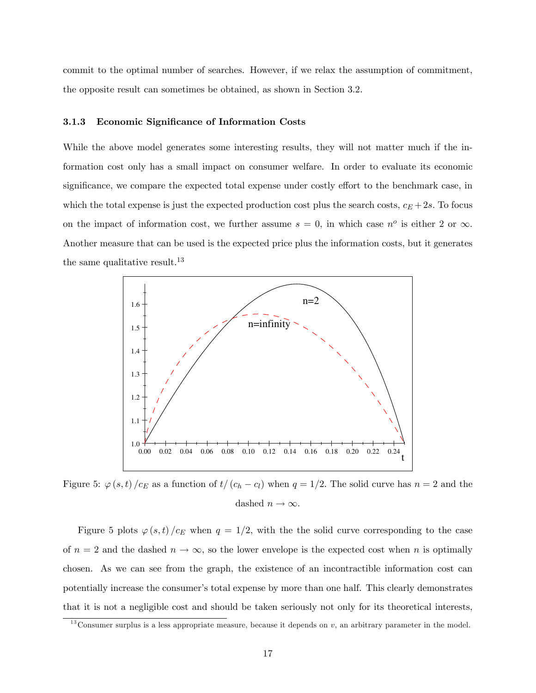commit to the optimal number of searches. However, if we relax the assumption of commitment, the opposite result can sometimes be obtained, as shown in Section 3.2.

#### 3.1.3 Economic Significance of Information Costs

While the above model generates some interesting results, they will not matter much if the information cost only has a small impact on consumer welfare. In order to evaluate its economic significance, we compare the expected total expense under costly effort to the benchmark case, in which the total expense is just the expected production cost plus the search costs,  $c_E + 2s$ . To focus on the impact of information cost, we further assume  $s = 0$ , in which case  $n^o$  is either 2 or  $\infty$ . Another measure that can be used is the expected price plus the information costs, but it generates the same qualitative result.<sup>13</sup>



Figure 5:  $\varphi(s, t)$  /c<sub>E</sub> as a function of  $t/(c_h - c_l)$  when  $q = 1/2$ . The solid curve has  $n = 2$  and the dashed  $n \to \infty$ .

Figure 5 plots  $\varphi(s,t)/c_E$  when  $q = 1/2$ , with the the solid curve corresponding to the case of  $n = 2$  and the dashed  $n \to \infty$ , so the lower envelope is the expected cost when n is optimally chosen. As we can see from the graph, the existence of an incontractible information cost can potentially increase the consumerís total expense by more than one half. This clearly demonstrates that it is not a negligible cost and should be taken seriously not only for its theoretical interests,

<sup>&</sup>lt;sup>13</sup> Consumer surplus is a less appropriate measure, because it depends on  $v$ , an arbitrary parameter in the model.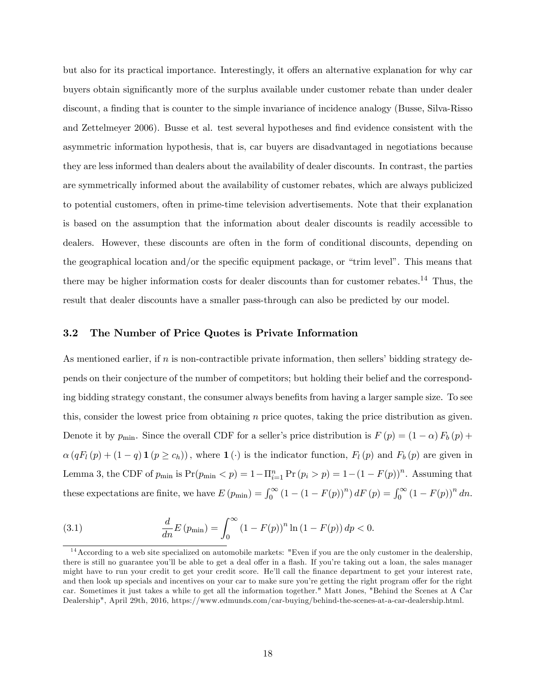but also for its practical importance. Interestingly, it offers an alternative explanation for why car buyers obtain significantly more of the surplus available under customer rebate than under dealer discount, a finding that is counter to the simple invariance of incidence analogy (Busse, Silva-Risso) and Zettelmeyer 2006). Busse et al. test several hypotheses and find evidence consistent with the asymmetric information hypothesis, that is, car buyers are disadvantaged in negotiations because they are less informed than dealers about the availability of dealer discounts. In contrast, the parties are symmetrically informed about the availability of customer rebates, which are always publicized to potential customers, often in prime-time television advertisements. Note that their explanation is based on the assumption that the information about dealer discounts is readily accessible to dealers. However, these discounts are often in the form of conditional discounts, depending on the geographical location and/or the specific equipment package, or "trim level". This means that there may be higher information costs for dealer discounts than for customer rebates.<sup>14</sup> Thus, the result that dealer discounts have a smaller pass-through can also be predicted by our model.

#### 3.2 The Number of Price Quotes is Private Information

As mentioned earlier, if  $n$  is non-contractible private information, then sellers' bidding strategy depends on their conjecture of the number of competitors; but holding their belief and the corresponding bidding strategy constant, the consumer always benefits from having a larger sample size. To see this, consider the lowest price from obtaining  $n$  price quotes, taking the price distribution as given. Denote it by  $p_{\min}$ . Since the overall CDF for a seller's price distribution is  $F(p) = (1 - \alpha) F_b(p) +$  $\alpha(qF_l (p) + (1 - q) \mathbf{1} (p \ge c_h))$ , where  $\mathbf{1} (\cdot)$  is the indicator function,  $F_l (p)$  and  $F_b (p)$  are given in Lemma 3, the CDF of  $p_{\min}$  is  $Pr(p_{\min} < p) = 1 - \prod_{i=1}^{n} Pr(p_i > p) = 1 - (1 - F(p))^n$ . Assuming that these expectations are finite, we have  $E(p_{\min}) = \int_0^{\infty} (1 - (1 - F(p))^n) dF(p) = \int_0^{\infty} (1 - F(p))^n dm$ .

(3.1) 
$$
\frac{d}{dn}E(p_{\min}) = \int_0^{\infty} (1 - F(p))^n \ln(1 - F(p)) dp < 0.
$$

<sup>&</sup>lt;sup>14</sup> According to a web site specialized on automobile markets: "Even if you are the only customer in the dealership, there is still no guarantee you'll be able to get a deal offer in a flash. If you're taking out a loan, the sales manager might have to run your credit to get your credit score. He'll call the finance department to get your interest rate, and then look up specials and incentives on your car to make sure you're getting the right program offer for the right car. Sometimes it just takes a while to get all the information together." Matt Jones, "Behind the Scenes at A Car Dealership", April 29th, 2016, https://www.edmunds.com/car-buying/behind-the-scenes-at-a-car-dealership.html.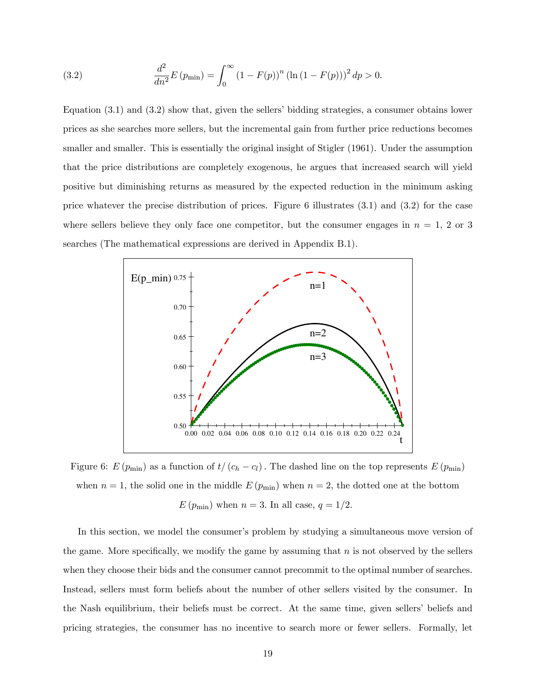(3.2) 
$$
\frac{d^2}{dn^2}E(p_{\min}) = \int_0^{\infty} (1 - F(p))^n (\ln (1 - F(p)))^2 dp > 0.
$$

Equation  $(3.1)$  and  $(3.2)$  show that, given the sellers' bidding strategies, a consumer obtains lower prices as she searches more sellers, but the incremental gain from further price reductions becomes smaller and smaller. This is essentially the original insight of Stigler (1961). Under the assumption that the price distributions are completely exogenous, he argues that increased search will yield positive but diminishing returns as measured by the expected reduction in the minimum asking price whatever the precise distribution of prices. Figure 6 illustrates (3:1) and (3:2) for the case where sellers believe they only face one competitor, but the consumer engages in  $n = 1, 2$  or 3 searches (The mathematical expressions are derived in Appendix B.1).



Figure 6:  $E(p_{\min})$  as a function of  $t/(c_h - c_l)$ . The dashed line on the top represents  $E(p_{\min})$ when  $n = 1$ , the solid one in the middle  $E(p_{\min})$  when  $n = 2$ , the dotted one at the bottom  $E(p_{\text{min}})$  when  $n = 3$ . In all case,  $q = 1/2$ .

In this section, we model the consumer's problem by studying a simultaneous move version of the game. More specifically, we modify the game by assuming that  $n$  is not observed by the sellers when they choose their bids and the consumer cannot precommit to the optimal number of searches. Instead, sellers must form beliefs about the number of other sellers visited by the consumer. In the Nash equilibrium, their beliefs must be correct. At the same time, given sellers' beliefs and pricing strategies, the consumer has no incentive to search more or fewer sellers. Formally, let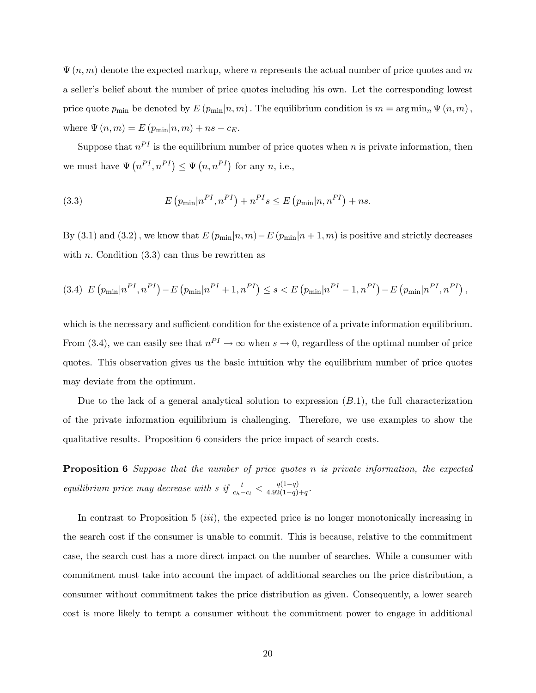$\Psi(n,m)$  denote the expected markup, where n represents the actual number of price quotes and m a seller's belief about the number of price quotes including his own. Let the corresponding lowest price quote  $p_{\min}$  be denoted by  $E(p_{\min}|n,m)$ . The equilibrium condition is  $m = \arg \min_n \Psi(n,m)$ , where  $\Psi(n, m) = E(p_{\min}|n, m) + ns - c_E$ .

Suppose that  $n^{PI}$  is the equilibrium number of price quotes when n is private information, then we must have  $\Psi(n^{PI}, n^{PI}) \leq \Psi(n, n^{PI})$  for any n, i.e.,

(3.3) 
$$
E(p_{\min}|n^{PI}, n^{PI}) + n^{PI}s \le E(p_{\min}|n, n^{PI}) + ns.
$$

By (3.1) and (3.2), we know that  $E(p_{\min}|n,m) - E(p_{\min}|n+1,m)$  is positive and strictly decreases with n. Condition  $(3.3)$  can thus be rewritten as

$$
(3.4) \ E\left(p_{\min}|n^{PI}, n^{PI}\right) - E\left(p_{\min}|n^{PI} + 1, n^{PI}\right) \le s < E\left(p_{\min}|n^{PI} - 1, n^{PI}\right) - E\left(p_{\min}|n^{PI}, n^{PI}\right),
$$

which is the necessary and sufficient condition for the existence of a private information equilibrium. From (3.4), we can easily see that  $n^{PI} \to \infty$  when  $s \to 0$ , regardless of the optimal number of price quotes. This observation gives us the basic intuition why the equilibrium number of price quotes may deviate from the optimum.

Due to the lack of a general analytical solution to expression  $(B.1)$ , the full characterization of the private information equilibrium is challenging. Therefore, we use examples to show the qualitative results. Proposition 6 considers the price impact of search costs.

**Proposition 6** Suppose that the number of price quotes n is private information, the expected equilibrium price may decrease with s if  $\frac{t}{c_h-c_l} < \frac{q(1-q)}{4.92(1-q)}$  $\frac{q(1-q)}{4.92(1-q)+q}$ .

In contrast to Proposition 5 *(iii)*, the expected price is no longer monotonically increasing in the search cost if the consumer is unable to commit. This is because, relative to the commitment case, the search cost has a more direct impact on the number of searches. While a consumer with commitment must take into account the impact of additional searches on the price distribution, a consumer without commitment takes the price distribution as given. Consequently, a lower search cost is more likely to tempt a consumer without the commitment power to engage in additional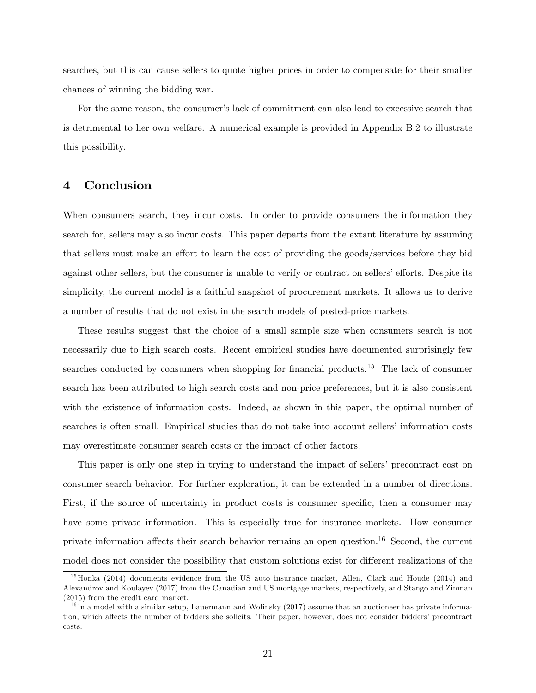searches, but this can cause sellers to quote higher prices in order to compensate for their smaller chances of winning the bidding war.

For the same reason, the consumer's lack of commitment can also lead to excessive search that is detrimental to her own welfare. A numerical example is provided in Appendix B.2 to illustrate this possibility.

## 4 Conclusion

When consumers search, they incur costs. In order to provide consumers the information they search for, sellers may also incur costs. This paper departs from the extant literature by assuming that sellers must make an effort to learn the cost of providing the goods/services before they bid against other sellers, but the consumer is unable to verify or contract on sellers' efforts. Despite its simplicity, the current model is a faithful snapshot of procurement markets. It allows us to derive a number of results that do not exist in the search models of posted-price markets.

These results suggest that the choice of a small sample size when consumers search is not necessarily due to high search costs. Recent empirical studies have documented surprisingly few searches conducted by consumers when shopping for financial products.<sup>15</sup> The lack of consumer search has been attributed to high search costs and non-price preferences, but it is also consistent with the existence of information costs. Indeed, as shown in this paper, the optimal number of searches is often small. Empirical studies that do not take into account sellers' information costs may overestimate consumer search costs or the impact of other factors.

This paper is only one step in trying to understand the impact of sellers' precontract cost on consumer search behavior. For further exploration, it can be extended in a number of directions. First, if the source of uncertainty in product costs is consumer specific, then a consumer may have some private information. This is especially true for insurance markets. How consumer private information affects their search behavior remains an open question.<sup>16</sup> Second, the current model does not consider the possibility that custom solutions exist for different realizations of the

 $^{15}$ Honka (2014) documents evidence from the US auto insurance market, Allen, Clark and Houde (2014) and Alexandrov and Koulayev (2017) from the Canadian and US mortgage markets, respectively, and Stango and Zinman (2015) from the credit card market.

 $1<sup>6</sup>$  In a model with a similar setup, Lauermann and Wolinsky (2017) assume that an auctioneer has private information, which affects the number of bidders she solicits. Their paper, however, does not consider bidders' precontract costs.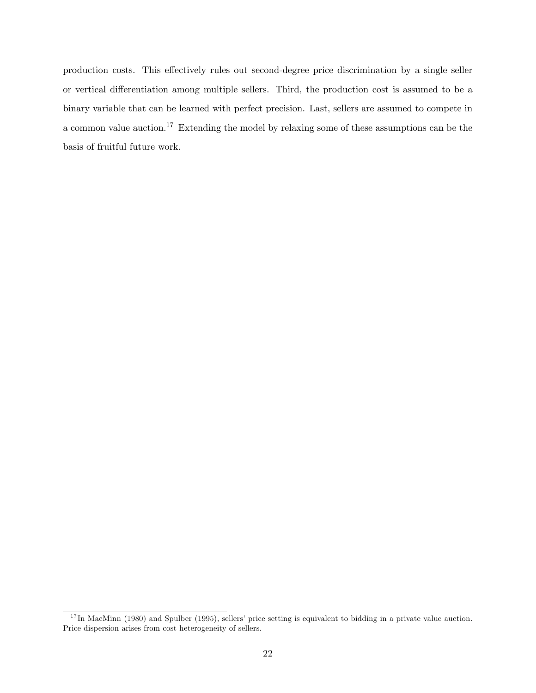production costs. This effectively rules out second-degree price discrimination by a single seller or vertical differentiation among multiple sellers. Third, the production cost is assumed to be a binary variable that can be learned with perfect precision. Last, sellers are assumed to compete in a common value auction.<sup>17</sup> Extending the model by relaxing some of these assumptions can be the basis of fruitful future work.

 $17 \text{ In MacMinn (1980) and Spulber (1995), sellers' price setting is equivalent to bidding in a private value auction.}$ Price dispersion arises from cost heterogeneity of sellers.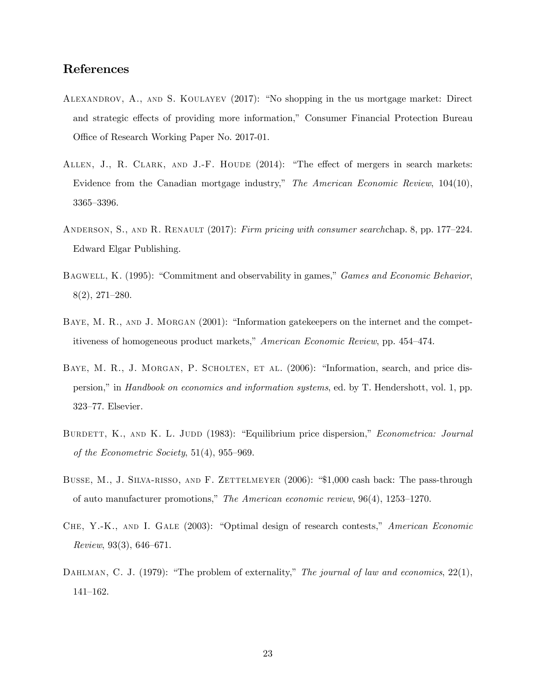## References

- ALEXANDROV, A., AND S. KOULAYEV  $(2017)$ : "No shopping in the us mortgage market: Direct and strategic effects of providing more information," Consumer Financial Protection Bureau Office of Research Working Paper No. 2017-01.
- ALLEN, J., R. CLARK, AND J.-F. HOUDE  $(2014)$ : "The effect of mergers in search markets: Evidence from the Canadian mortgage industry," The American Economic Review,  $104(10)$ , 3365-3396.
- ANDERSON, S., AND R. RENAULT (2017): Firm pricing with consumer searchchap. 8, pp. 177–224. Edward Elgar Publishing.
- BAGWELL, K. (1995): "Commitment and observability in games," Games and Economic Behavior,  $8(2), 271-280.$
- BAYE, M. R., AND J. MORGAN (2001): "Information gatekeepers on the internet and the competitiveness of homogeneous product markets," American Economic Review, pp. 454-474.
- BAYE, M. R., J. MORGAN, P. SCHOLTEN, ET AL. (2006): "Information, search, and price dispersion," in Handbook on economics and information systems, ed. by T. Hendershott, vol. 1, pp. 323-77. Elsevier.
- BURDETT, K., AND K. L. JUDD (1983): "Equilibrium price dispersion," *Econometrica: Journal* of the Econometric Society,  $51(4)$ ,  $955-969$ .
- BUSSE, M., J. SILVA-RISSO, AND F. ZETTELMEYER (2006): "\$1,000 cash back: The pass-through of auto manufacturer promotions," The American economic review,  $96(4)$ ,  $1253-1270$ .
- CHE, Y.-K., AND I. GALE  $(2003)$ : "Optimal design of research contests," American Economic Review, 93(3), 646-671.
- DAHLMAN, C. J. (1979): "The problem of externality," The journal of law and economics, 22(1), 141-162.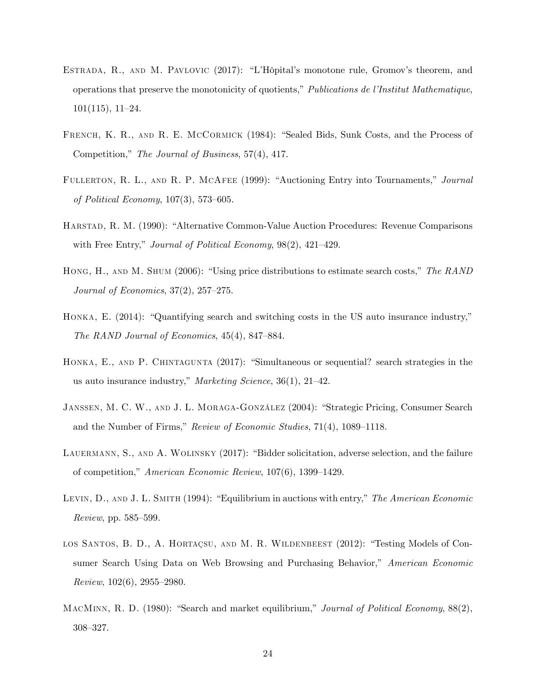- ESTRADA, R., AND M. PAVLOVIC  $(2017)$ : "L'Hôpital's monotone rule, Gromov's theorem, and operations that preserve the monotonicity of quotients," Publications de l'Institut Mathematique,  $101(115), 11-24.$
- FRENCH, K. R., AND R. E. MCCORMICK (1984): "Sealed Bids, Sunk Costs, and the Process of Competition," The Journal of Business, 57(4), 417.
- FULLERTON, R. L., AND R. P. MCAFEE (1999): "Auctioning Entry into Tournaments," Journal of Political Economy,  $107(3)$ , 573-605.
- HARSTAD, R. M. (1990): "Alternative Common-Value Auction Procedures: Revenue Comparisons with Free Entry," Journal of Political Economy,  $98(2)$ ,  $421-429$ .
- HONG, H., AND M. SHUM (2006): "Using price distributions to estimate search costs," The RAND Journal of Economics,  $37(2)$ ,  $257-275$ .
- HONKA, E.  $(2014)$ : "Quantifying search and switching costs in the US auto insurance industry," The RAND Journal of Economics,  $45(4)$ , 847-884.
- HONKA, E., AND P. CHINTAGUNTA  $(2017)$ : "Simultaneous or sequential? search strategies in the us auto insurance industry," Marketing Science, 36(1), 21-42.
- JANSSEN, M. C. W., AND J. L. MORAGA-GONZÁLEZ (2004): "Strategic Pricing, Consumer Search and the Number of Firms," Review of Economic Studies,  $71(4)$ ,  $1089-1118$ .
- LAUERMANN, S., AND A. WOLINSKY (2017): "Bidder solicitation, adverse selection, and the failure of competition," American Economic Review, 107(6), 1399–1429.
- LEVIN,  $D_{\cdot}$ , AND J. L. SMITH (1994): "Equilibrium in auctions with entry," The American Economic  $Review, pp. 585–599.$
- LOS SANTOS, B. D., A. HORTAÇSU, AND M. R. WILDENBEEST (2012): "Testing Models of Consumer Search Using Data on Web Browsing and Purchasing Behavior," American Economic Review,  $102(6)$ ,  $2955-2980$ .
- MACMINN, R. D. (1980): "Search and market equilibrium," Journal of Political Economy,  $88(2)$ , 308–327.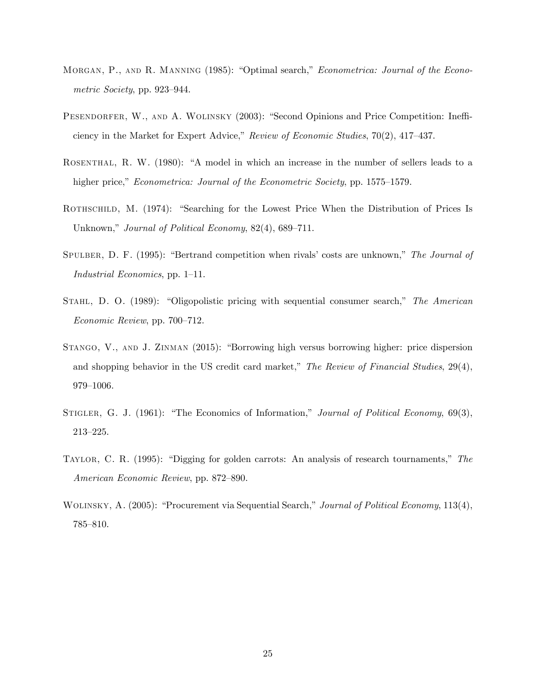- MORGAN, P., AND R. MANNING (1985): "Optimal search," *Econometrica: Journal of the Econo*metric Society, pp.  $923-944$ .
- PESENDORFER, W., AND A. WOLINSKY (2003): "Second Opinions and Price Competition: Inefficiency in the Market for Expert Advice," Review of Economic Studies,  $70(2)$ ,  $417-437$ .
- ROSENTHAL, R. W. (1980): "A model in which an increase in the number of sellers leads to a higher price," *Econometrica: Journal of the Econometric Society*, pp. 1575–1579.
- ROTHSCHILD, M. (1974): "Searching for the Lowest Price When the Distribution of Prices Is Unknown," Journal of Political Economy,  $82(4)$ ,  $689-711$ .
- SPULBER, D. F. (1995): "Bertrand competition when rivals' costs are unknown," The Journal of Industrial Economics, pp.  $1-11$ .
- STAHL, D. O.  $(1989)$ : "Oligopolistic pricing with sequential consumer search," The American Economic Review, pp. 700-712.
- STANGO, V., AND J. ZINMAN (2015): "Borrowing high versus borrowing higher: price dispersion and shopping behavior in the US credit card market," The Review of Financial Studies,  $29(4)$ , 979-1006.
- STIGLER, G. J. (1961): "The Economics of Information," Journal of Political Economy, 69(3),  $213 - 225.$
- TAYLOR, C. R. (1995): "Digging for golden carrots: An analysis of research tournaments," The American Economic Review, pp. 872–890.
- WOLINSKY, A. (2005): "Procurement via Sequential Search," Journal of Political Economy, 113(4), 785-810.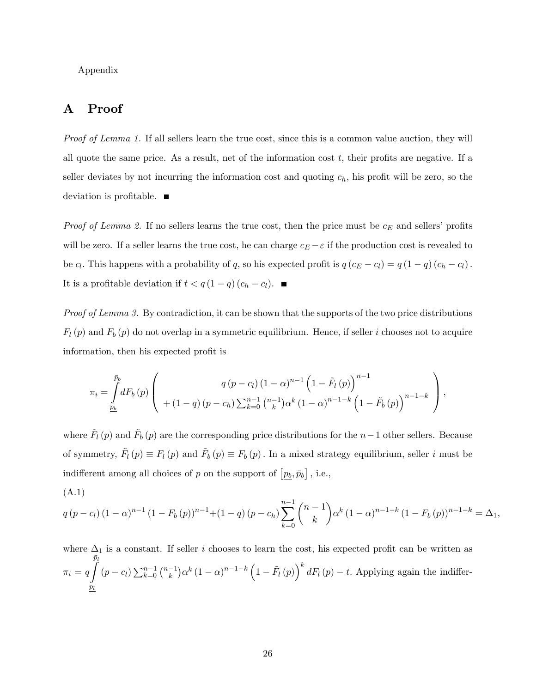Appendix

## A Proof

Proof of Lemma 1. If all sellers learn the true cost, since this is a common value auction, they will all quote the same price. As a result, net of the information cost  $t$ , their profits are negative. If a seller deviates by not incurring the information cost and quoting  $c_h$ , his profit will be zero, so the deviation is profitable.  $\blacksquare$ 

*Proof of Lemma 2.* If no sellers learns the true cost, then the price must be  $c_E$  and sellers' profits will be zero. If a seller learns the true cost, he can charge  $c_E - \varepsilon$  if the production cost is revealed to be  $c_l$ . This happens with a probability of q, so his expected profit is  $q(c_E - c_l) = q(1 - q)(c_h - c_l)$ . It is a profitable deviation if  $t < q(1 - q)(c_h - c_l)$ .

Proof of Lemma 3. By contradiction, it can be shown that the supports of the two price distributions  $F_l(p)$  and  $F_b(p)$  do not overlap in a symmetric equilibrium. Hence, if seller i chooses not to acquire information, then his expected profit is

$$
\pi_{i} = \int_{\frac{p_{b}}{2}}^{\bar{p}_{b}} dF_{b}(p) \left( \begin{array}{c} q(p-c_{l})(1-\alpha)^{n-1} \left(1-\tilde{F}_{l}(p)\right)^{n-1} \\ + (1-q)(p-c_{h}) \sum_{k=0}^{n-1} {n-1 \choose k} \alpha^{k} (1-\alpha)^{n-1-k} \left(1-\tilde{F}_{b}(p)\right)^{n-1-k} \end{array} \right),
$$

where  $\tilde{F}_l(p)$  and  $\tilde{F}_b(p)$  are the corresponding price distributions for the  $n-1$  other sellers. Because of symmetry,  $\tilde{F}_l(p) \equiv F_l(p)$  and  $\tilde{F}_b(p) \equiv F_b(p)$ . In a mixed strategy equilibrium, seller i must be indifferent among all choices of p on the support of  $[p_b, \bar{p}_b]$ , i.e.,

$$
(A.1)
$$

$$
q(p - c_l)(1 - \alpha)^{n-1}(1 - F_b(p))^{n-1} + (1 - q)(p - c_h) \sum_{k=0}^{n-1} {n-1 \choose k} \alpha^k (1 - \alpha)^{n-1-k} (1 - F_b(p))^{n-1-k} = \Delta_1,
$$

where  $\Delta_1$  is a constant. If seller i chooses to learn the cost, his expected profit can be written as  $\pi_i = q$  $\bar{p}_l$  $p_l$  $(p - c_l) \sum_{k=0}^{n-1} {n-1 \choose k}$  $(k-1)\alpha^{k}(1-\alpha)^{n-1-k}\left(1-\tilde{F}_{l}\left(p\right)\right)^{k}dF_{l}\left(p\right)-t.$  Applying again the indiffer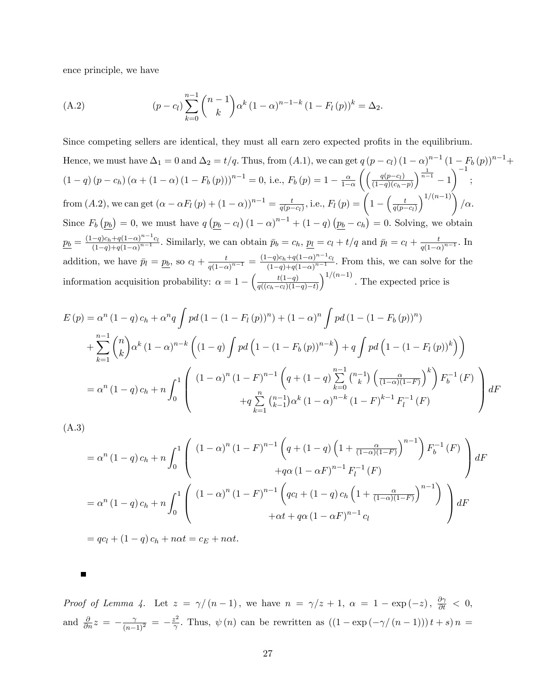ence principle, we have

(A.2) 
$$
(p - c_l) \sum_{k=0}^{n-1} {n-1 \choose k} \alpha^k (1 - \alpha)^{n-1-k} (1 - F_l(p))^k = \Delta_2.
$$

Since competing sellers are identical, they must all earn zero expected profits in the equilibrium. Hence, we must have  $\Delta_1 = 0$  and  $\Delta_2 = t/q$ . Thus, from  $(A.1)$ , we can get  $q (p - c_l) (1 - \alpha)^{n-1} (1 - F_b(p))^{n-1} +$  $(1 - q) (p - c_h) (\alpha + (1 - \alpha) (1 - F_b(p)))^{n-1} = 0$ , i.e.,  $F_b(p) = 1 - \frac{\alpha}{1 - \alpha}$  $1-\alpha$  $\int \int \frac{q(p-c_l)}{l}$  $(1-q)(c_h-p)$  $\left( \frac{1}{n-1} - 1 \right)^{-1}$ ; from  $(A.2)$ , we can get  $(\alpha - \alpha F_l(p) + (1 - \alpha))^{n-1} = \frac{t}{q(p-1)}$  $\frac{t}{q(p-c_l)},$  i.e.,  $F_l\left( p\right) = \left(1 - \left(\frac{t}{q(p-c)}\right)\right)$  $q(p-c_l)$  $\Big)^{1/(n-1)}\Big)$  /  $\alpha$ . Since  $F_b(p_b) = 0$ , we must have  $q(p_b - c_l)(1 - \alpha)^{n-1} + (1 - q)(p_b - c_h) = 0$ . Solving, we obtain  $p_b = \frac{(1-q)c_h + q(1-\alpha)^{n-1}c_l}{(1-a) + a(1-\alpha)^{n-1}}$  $\frac{-q)c_h+q(1-\alpha)^{n-1}c_l}{(1-q)+q(1-\alpha)^{n-1}}$ . Similarly, we can obtain  $\bar{p}_b = c_h$ ,  $\underline{p}_l = c_l + t/q$  and  $\bar{p}_l = c_l + \frac{t}{q(1-\alpha)^{n-1}}$  $\frac{t}{q(1-\alpha)^{n-1}}$ . In addition, we have  $\bar{p}_l = p_b$ , so  $c_l + \frac{t}{q(1-\alpha)}$  $\frac{t}{q(1-\alpha)^{n-1}} = \frac{(1-q)c_h + q(1-\alpha)^{n-1}c_l}{(1-q) + q(1-\alpha)^{n-1}}$  $\frac{-q)c_h+q(1-\alpha)}{(1-q)+q(1-\alpha)^{n-1}}$ . From this, we can solve for the information acquisition probability:  $\alpha = 1 - \left(\frac{t(1-q)}{q((c_1-c_1)(1-q))}\right)$  $q((c_h-c_l)(1-q)-t)$  $\int_0^{1/(n-1)}$ . The expected price is

$$
E(p) = \alpha^{n} (1-q) c_{h} + \alpha^{n} q \int p d (1 - (1 - F_{l}(p))^{n}) + (1 - \alpha)^{n} \int p d (1 - (1 - F_{b}(p))^{n})
$$
  
+ 
$$
\sum_{k=1}^{n-1} {n \choose k} \alpha^{k} (1 - \alpha)^{n-k} \left( (1 - q) \int p d (1 - (1 - F_{b}(p))^{n-k}) + q \int p d (1 - (1 - F_{l}(p))^{k}) \right)
$$
  
= 
$$
\alpha^{n} (1-q) c_{h} + n \int_{0}^{1} \left( (1 - \alpha)^{n} (1 - F_{l}^{n})^{n-1} \left( q + (1 - q) \sum_{k=0}^{n-1} {n-1 \choose k} \left( \frac{\alpha}{(1 - \alpha)(1 - F_{l})} \right)^{k} \right) F_{b}^{-1}(F) + q \sum_{k=1}^{n} {n-1 \choose k-1} \alpha^{k} (1 - \alpha)^{n-k} (1 - F_{l}^{n})^{k-1} F_{l}^{-1}(F)
$$

(A.3)

$$
= \alpha^{n} (1-q) c_{h} + n \int_{0}^{1} \left( (1-\alpha)^{n} (1-F)^{n-1} \left( q + (1-q) \left( 1 + \frac{\alpha}{(1-\alpha)(1-F)} \right)^{n-1} \right) F_{b}^{-1}(F) + q\alpha (1-\alpha F)^{n-1} F_{l}^{-1}(F) \right) dF
$$

$$
+ q\alpha (1-\alpha F)^{n-1} F_{l}^{-1}(F)
$$

$$
= \alpha^{n} (1-q) c_{h} + n \int_{0}^{1} \left( (1-\alpha)^{n} (1-F)^{n-1} \left( q c_{l} + (1-q) c_{h} \left( 1 + \frac{\alpha}{(1-\alpha)(1-F)} \right)^{n-1} \right) \right) dF
$$

$$
+ \alpha t + q\alpha (1-\alpha F)^{n-1} c_{l}
$$

 $= qc_l + (1 - q)c_h + n\alpha t = c_E + n\alpha t.$ 

Proof of Lemma 4. Let  $z = \gamma/(n-1)$ , we have  $n = \gamma/z + 1$ ,  $\alpha = 1 - \exp(-z)$ ,  $\frac{\partial \gamma}{\partial t} < 0$ , and  $\frac{\partial}{\partial n}z = -\frac{\gamma}{(n-1)^2} = -\frac{z^2}{\gamma}$  $\frac{\partial^2}{\partial \gamma}$ . Thus,  $\psi(n)$  can be rewritten as  $((1 - \exp(-\gamma/(n-1)))t + s) n =$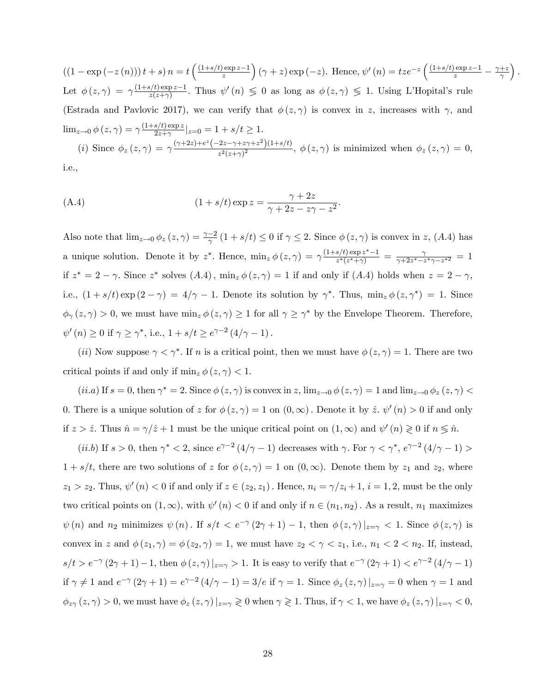$((1 - \exp(-z(n))t + s) n = t \frac{(\frac{(1+s/t)\exp z - 1}{z})}{\frac{s}{t}}$ z  $\int (\gamma + z) \exp(-z)$ . Hence,  $\psi'(n) = tze^{-z} \left( \frac{(1+s/t) \exp z - 1}{z} - \frac{\gamma + z}{\gamma} \right)$  $\gamma$  $\big).$ Let  $\phi(z,\gamma) = \gamma \frac{(1+s/t) \exp z - 1}{z(z+\gamma)}$  $\frac{\phi(t) \exp z - 1}{\phi(z+\gamma)}$ . Thus  $\psi'(n) \leq 0$  as long as  $\phi(z,\gamma) \leq 1$ . Using L'Hopital's rule (Estrada and Pavlovic 2017), we can verify that  $\phi(z, \gamma)$  is convex in z, increases with  $\gamma$ , and  $\lim_{z\to 0} \phi\left(z,\gamma\right) = \gamma \frac{\left(1+s/t\right)\exp z}{2z+\gamma}$  $\frac{s}{2z+\gamma}$   $|z=0 = 1 + s/t \ge 1$ . (i) Since  $\phi_z(z,\gamma) = \gamma \frac{(\gamma+2z)+e^z(-2z-\gamma+z\gamma+z^2)(1+s/t)}{z^2(z+\gamma)^2}$  $\frac{2z^2+|z|+|z|}{z^2(z+\gamma)^2}$ ,  $\phi(z,\gamma)$  is minimized when  $\phi_z(z,\gamma)=0$ ,

i.e.,

(A.4) 
$$
(1 + s/t) \exp z = \frac{\gamma + 2z}{\gamma + 2z - z\gamma - z^2}.
$$

Also note that  $\lim_{z\to 0} \phi_z(z,\gamma) = \frac{\gamma-2}{\gamma} (1+s/t) \leq 0$  if  $\gamma \leq 2$ . Since  $\phi(z,\gamma)$  is convex in z, (A.4) has a unique solution. Denote it by  $z^*$ . Hence,  $\min_z \phi(z, \gamma) = \gamma \frac{(1+s/t) \exp z^* - 1}{z^*(z^* + \gamma)}$  $\frac{s/t\,\exp z^\ast-1}{z^\ast(z^\ast+\gamma)}\,=\,\frac{\gamma}{\gamma+2z^\ast-z}$  $\frac{\gamma}{\gamma+2z^{*}-z^{*}\gamma-z^{*2}}=1$ if  $z^* = 2 - \gamma$ . Since  $z^*$  solves  $(A.4)$ ,  $\min_z \phi(z, \gamma) = 1$  if and only if  $(A.4)$  holds when  $z = 2 - \gamma$ , i.e.,  $(1 + s/t) \exp(2 - \gamma) = 4/\gamma - 1$ . Denote its solution by  $\gamma^*$ . Thus,  $\min_z \phi(z, \gamma^*) = 1$ . Since  $\phi_{\gamma}(z,\gamma) > 0$ , we must have  $\min_{z} \phi(z,\gamma) \geq 1$  for all  $\gamma \geq \gamma^*$  by the Envelope Theorem. Therefore,  $\psi'(n) \ge 0$  if  $\gamma \ge \gamma^*$ , i.e.,  $1 + s/t \ge e^{\gamma - 2} (4/\gamma - 1)$ .

(*ii*) Now suppose  $\gamma < \gamma^*$ . If *n* is a critical point, then we must have  $\phi(z, \gamma) = 1$ . There are two critical points if and only if  $\min_z \phi(z, \gamma) < 1$ .

 $(i.i.a)$  If  $s = 0$ , then  $\gamma^* = 2$ . Since  $\phi(z, \gamma)$  is convex in z,  $\lim_{z\to 0} \phi(z, \gamma) = 1$  and  $\lim_{z\to 0} \phi_z(z, \gamma)$ 0. There is a unique solution of z for  $\phi(z, \gamma) = 1$  on  $(0, \infty)$ . Denote it by  $\hat{z}$ .  $\psi'(n) > 0$  if and only if  $z > \hat{z}$ . Thus  $\hat{n} = \gamma/\hat{z} + 1$  must be the unique critical point on  $(1, \infty)$  and  $\psi'(n) \geq 0$  if  $n \leq \hat{n}$ .

(*ii.b*) If  $s > 0$ , then  $\gamma^* < 2$ , since  $e^{\gamma - 2} (4/\gamma - 1)$  decreases with  $\gamma$ . For  $\gamma < \gamma^*$ ,  $e^{\gamma - 2} (4/\gamma - 1) >$  $1 + s/t$ , there are two solutions of z for  $\phi(z, \gamma) = 1$  on  $(0, \infty)$ . Denote them by  $z_1$  and  $z_2$ , where  $z_1 > z_2$ . Thus,  $\psi'(n) < 0$  if and only if  $z \in (z_2, z_1)$ . Hence,  $n_i = \gamma/z_i + 1$ ,  $i = 1, 2$ , must be the only two critical points on  $(1,\infty)$ , with  $\psi'(n) < 0$  if and only if  $n \in (n_1,n_2)$ . As a result,  $n_1$  maximizes  $\psi(n)$  and  $n_2$  minimizes  $\psi(n)$ . If  $s/t < e^{-\gamma}(2\gamma + 1) - 1$ , then  $\phi(z, \gamma)|_{z=\gamma} < 1$ . Since  $\phi(z, \gamma)$  is convex in z and  $\phi(z_1, \gamma) = \phi(z_2, \gamma) = 1$ , we must have  $z_2 < \gamma < z_1$ , i.e.,  $n_1 < 2 < n_2$ . If, instead,  $s/t > e^{-\gamma} (2\gamma + 1) - 1$ , then  $\phi(z, \gamma)|_{z=\gamma} > 1$ . It is easy to verify that  $e^{-\gamma} (2\gamma + 1) < e^{\gamma - 2} (4/\gamma - 1)$ if  $\gamma \neq 1$  and  $e^{-\gamma} (2\gamma + 1) = e^{\gamma - 2} (4/\gamma - 1) = 3/e$  if  $\gamma = 1$ . Since  $\phi_z(z, \gamma) |_{z=\gamma} = 0$  when  $\gamma = 1$  and  $\phi_{z\gamma}(z,\gamma) > 0$ , we must have  $\phi_z(z,\gamma)|_{z=\gamma} \geq 0$  when  $\gamma \geq 1$ . Thus, if  $\gamma < 1$ , we have  $\phi_z(z,\gamma)|_{z=\gamma} < 0$ ,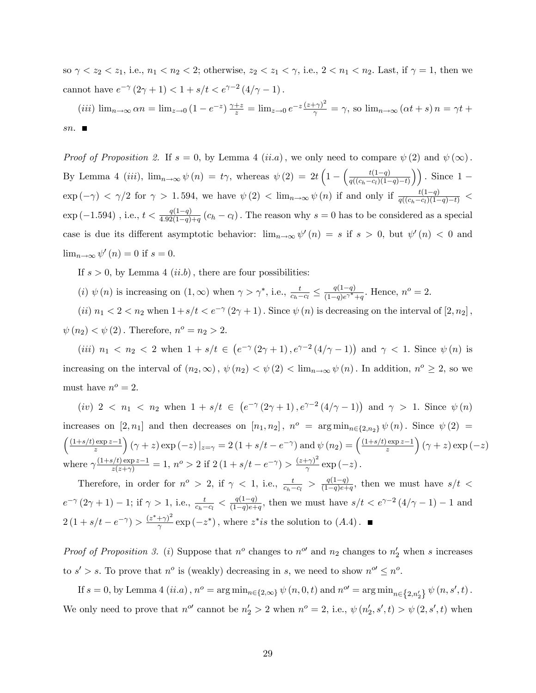so  $\gamma < z_2 < z_1$ , i.e.,  $n_1 < n_2 < 2$ ; otherwise,  $z_2 < z_1 < \gamma$ , i.e.,  $2 < n_1 < n_2$ . Last, if  $\gamma = 1$ , then we cannot have  $e^{-\gamma} (2\gamma + 1) < 1 + s/t < e^{\gamma - 2} (4/\gamma - 1)$ .

(*iii*)  $\lim_{n\to\infty} \alpha n = \lim_{z\to 0} \left(1 - e^{-z}\right) \frac{\gamma + z}{z} = \lim_{z\to 0} e^{-z} \frac{(z+\gamma)^2}{\gamma} = \gamma$ , so  $\lim_{n\to\infty} \left(\alpha t + s\right) n = \gamma t + \gamma$ sn.  $\blacksquare$ 

*Proof of Proposition 2.* If  $s = 0$ , by Lemma 4 (*ii.a*), we only need to compare  $\psi(2)$  and  $\psi(\infty)$ . By Lemma 4 (*iii*),  $\lim_{n\to\infty}\psi(n) = t\gamma$ , whereas  $\psi(2) = 2t\left(1 - \left(\frac{t(1-q)}{a((c_b-c_1)(1-q))}\right)\right)$  $\frac{t(1-q)}{q((c_h-c_l)(1-q)-t)}\bigg)$ . Since  $1 \exp(-\gamma)$  <  $\gamma/2$  for  $\gamma > 1.594$ , we have  $\psi(2)$  <  $\lim_{n\to\infty}\psi(n)$  if and only if  $\frac{t(1-q)}{q((c_h-c_l)(1-q)-t)}$  <  $\exp(-1.594)$  , i.e.,  $t < \frac{q(1-q)}{4.92(1-q)+q}$   $(c_h - c_l)$ . The reason why  $s = 0$  has to be considered as a special case is due its different asymptotic behavior:  $\lim_{n\to\infty}\psi'(n) = s$  if  $s > 0$ , but  $\psi'(n) < 0$  and  $\lim_{n\to\infty}\psi'(n)=0$  if  $s=0$ .

If  $s > 0$ , by Lemma 4 (*ii.b*), there are four possibilities:

(*i*)  $\psi(n)$  is increasing on  $(1,\infty)$  when  $\gamma > \gamma^*$ , i.e.,  $\frac{t}{c_h-c_l} \leq \frac{q(1-q)}{(1-q)e^{\gamma^*}}$ .  $\frac{q(1-q)}{(1-q)e^{\gamma^*}+q}$ . Hence,  $n^o = 2$ .

(*ii*)  $n_1 < 2 < n_2$  when  $1 + s/t < e^{-\gamma} (2\gamma + 1)$ . Since  $\psi(n)$  is decreasing on the interval of  $[2, n_2]$ ,  $\psi(n_2) < \psi(2)$ . Therefore,  $n^o = n_2 > 2$ .

(*iii*)  $n_1 < n_2 < 2$  when  $1 + s/t \in (e^{-\gamma}(2\gamma + 1), e^{\gamma - 2}(4/\gamma - 1))$  and  $\gamma < 1$ . Since  $\psi(n)$  is increasing on the interval of  $(n_2,\infty)$ ,  $\psi(n_2) < \psi(2) < \lim_{n\to\infty} \psi(n)$ . In addition,  $n^o \geq 2$ , so we must have  $n^o = 2$ .

(iv)  $2 < n_1 < n_2$  when  $1 + s/t \in (e^{-\gamma}(2\gamma + 1), e^{\gamma - 2}(4/\gamma - 1))$  and  $\gamma > 1$ . Since  $\psi(n)$ increases on  $[2, n_1]$  and then decreases on  $[n_1, n_2]$ ,  $n^o = \arg \min_{n \in \{2, n_2\}} \psi(n)$ . Since  $\psi(2) =$  $(1+s/t)$  exp  $z-1$ z  $\int (\gamma + z) \exp(-z) |_{z=\gamma} = 2 (1 + s/t - e^{-\gamma}) \text{ and } \psi(n_2) = \left(\frac{(1 + s/t) \exp(z - 1)}{z}\right)$ z  $(\gamma + z) \exp(-z)$ where  $\gamma \frac{(1+s/t) \exp z - 1}{z(z+\gamma)} = 1$ ,  $n^{\circ} > 2$  if  $2(1+s/t - e^{-\gamma}) > \frac{(z+\gamma)^2}{\gamma}$  $\frac{f(\gamma)}{\gamma}$  exp  $(-z)$  .

Therefore, in order for  $n^o > 2$ , if  $\gamma < 1$ , i.e.,  $\frac{t}{c_h - c_l} > \frac{q(1-q)}{(1-q)e+q}$  $\frac{q(1-q)}{(1-q)e+q}$ , then we must have  $s/t <$  $e^{-\gamma}(2\gamma+1) - 1$ ; if  $\gamma > 1$ , i.e.,  $\frac{t}{c_h - c_l} < \frac{q(1-q)}{(1-q)e + 1}$  $\frac{q(1-q)}{(1-q)e+q}$ , then we must have  $s/t < e^{\gamma-2}(4/\gamma-1) - 1$  and  $2(1+s/t-e^{-\gamma}) > \frac{(z^*+\gamma)^2}{\gamma}$  $\frac{(-x^{*})}{\gamma}$  exp  $(-z^{*})$ , where  $z^{*}$  is the solution to  $(A.4)$ .

*Proof of Proposition 3.* (*i*) Suppose that  $n^o$  changes to  $n^o$  and  $n_2$  changes to  $n'_2$  when s increases to  $s' > s$ . To prove that  $n^o$  is (weakly) decreasing in s, we need to show  $n^{o'} \leq n^o$ .

If  $s = 0$ , by Lemma 4  $(ii.a)$ ,  $n^o = \arg \min_{n \in \{2, \infty\}} \psi(n, 0, t)$  and  $n^{o'} = \arg \min_{n \in \{2, n'_2\}} \psi(n, s', t)$ . We only need to prove that  $n^{\circ}$  cannot be  $n'_2 > 2$  when  $n^{\circ} = 2$ , i.e.,  $\psi(n'_2, s', t) > \psi(2, s', t)$  when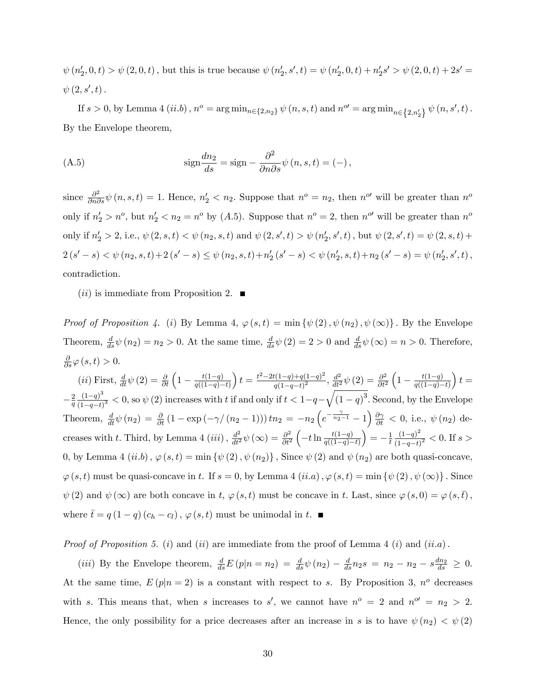$\psi(n'_2,0,t) > \psi(2,0,t)$ , but this is true because  $\psi(n'_2, s', t) = \psi(n'_2, 0, t) + n'_2s' > \psi(2, 0, t) + 2s' =$  $\psi\left(2, s^{\prime}, t\right)$ .

If  $s > 0$ , by Lemma 4 (*ii.b*),  $n^o = \arg \min_{n \in \{2,n_2\}} \psi(n, s, t)$  and  $n^{o'} = \arg \min_{n \in \{2,n'_2\}} \psi(n, s', t)$ . By the Envelope theorem,

(A.5) 
$$
\operatorname{sign} \frac{dn_2}{ds} = \operatorname{sign} - \frac{\partial^2}{\partial n \partial s} \psi(n, s, t) = (-),
$$

since  $\frac{\partial^2}{\partial n \partial s} \psi(n, s, t) = 1$ . Hence,  $n'_2 < n_2$ . Suppose that  $n^o = n_2$ , then  $n^{o'}$  will be greater than  $n^o$ only if  $n'_2 > n^o$ , but  $n'_2 < n_2 = n^o$  by (A.5). Suppose that  $n^o = 2$ , then  $n^{o'}$  will be greater than  $n^o$ only if  $n'_2 > 2$ , i.e.,  $\psi(2, s, t) < \psi(n_2, s, t)$  and  $\psi(2, s', t) > \psi(n'_2, s', t)$ , but  $\psi(2, s', t) = \psi(2, s, t) +$  $2(s'-s) < \psi(n_2,s,t)+2(s'-s) \leq \psi(n_2,s,t)+n'_2(s'-s) < \psi(n'_2,s,t)+n_2(s'-s) = \psi(n'_2,s',t)$ contradiction.

 $(ii)$  is immediate from Proposition 2.

*Proof of Proposition 4.* (i) By Lemma 4,  $\varphi(s,t) = \min \{\psi(2), \psi(n_2), \psi(\infty)\}\.$  By the Envelope Theorem,  $\frac{d}{ds}\psi(n_2) = n_2 > 0$ . At the same time,  $\frac{d}{ds}\psi(2) = 2 > 0$  and  $\frac{d}{ds}\psi(\infty) = n > 0$ . Therefore,  $\frac{\partial}{\partial s}\varphi(s,t)>0.$ 

(*ii*) First,  $\frac{d}{dt}\psi(2) = \frac{\partial}{\partial t}\left(1 - \frac{t(1-q)}{q((1-q))}\right)$  $q((1-q)-t)$  $t = \frac{t^2 - 2t(1-q) + q(1-q)^2}{(1-r)^2}$  $\frac{d^2(1-q)+q(1-q)^2}{q(1-q-t)^2}, \frac{d^2}{dt^2}\psi\left(2\right)=\frac{\partial^2}{\partial t^2}$  $\overline{\partial t^2}$  $\left(1 - \frac{t(1-q)}{a(1-q)}\right)$  $q((1-q)-t)$  $t =$  $-\frac{2}{a}$ q  $(1-q)^3$  $\frac{(1-q)^3}{(1-q-t)^3}$  < 0, so  $\psi$  (2) increases with t if and only if  $t < 1-q-\sqrt{(1-q)^3}$ . Second, by the Envelope Theorem,  $\frac{d}{dt}\psi(n_2) = \frac{\partial}{\partial t}(1 - \exp(-\gamma/(n_2-1)))\tn_2 = -n_2\left(e^{-\frac{\gamma}{n_2-1}}-1\right)\frac{\partial \gamma}{\partial t} < 0$ , i.e.,  $\psi(n_2)$  decreases with t. Third, by Lemma 4 (*iii*),  $\frac{d^2}{dt^2}\psi(\infty) = \frac{\partial^2}{\partial t^2}$  $\overline{\partial t^2}$  $\left(-t\ln\frac{t(1-q)}{q((1-q)-t)}\right)$  $= -\frac{1}{t}$ t  $(1-q)^2$  $\frac{(1-q)}{(1-q-t)^2}$  < 0. If s > 0, by Lemma 4 (ii.b),  $\varphi(s,t) = \min \{\psi(2), \psi(n_2)\}\$ , Since  $\psi(2)$  and  $\psi(n_2)$  are both quasi-concave,  $\varphi(s, t)$  must be quasi-concave in t. If  $s = 0$ , by Lemma 4  $(ii.a)$ ,  $\varphi(s, t) = \min \{\psi(2), \psi(\infty)\}\$ . Since  $\psi(2)$  and  $\psi(\infty)$  are both concave in t,  $\varphi(s,t)$  must be concave in t. Last, since  $\varphi(s,0) = \varphi(s,\bar{t})$ ; where  $\bar{t} = q(1 - q)(c_h - c_l)$ ,  $\varphi(s, t)$  must be unimodal in  $t$ .

*Proof of Proposition 5.* (*i*) and (*ii*) are immediate from the proof of Lemma 4 (*i*) and (*ii.a*).

(*iii*) By the Envelope theorem,  $\frac{d}{ds}E(p|n = n_2) = \frac{d}{ds}\psi(n_2) - \frac{d}{ds}n_2s = n_2 - n_2 - s\frac{dn_2}{ds} \geq 0.$ At the same time,  $E(p|n=2)$  is a constant with respect to s. By Proposition 3,  $n^{\circ}$  decreases with s. This means that, when s increases to s', we cannot have  $n^{\circ} = 2$  and  $n^{\circ} = n_2 > 2$ . Hence, the only possibility for a price decreases after an increase in s is to have  $\psi(n_2) < \psi(2)$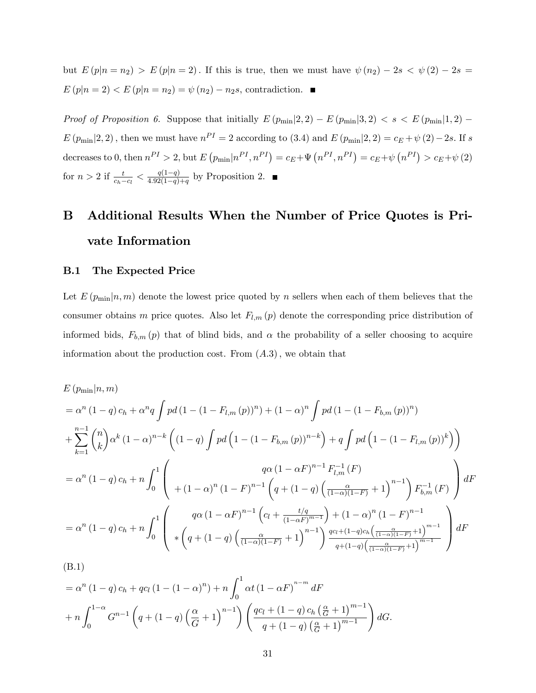but  $E(p|n = n_2) > E(p|n = 2)$ . If this is true, then we must have  $\psi(n_2) - 2s < \psi(2) - 2s =$  $E(p|n=2) < E(p|n=n_2) = \psi(n_2) - n_2s$ , contradiction.

Proof of Proposition 6. Suppose that initially  $E(p_{min}|2,2) - E(p_{min}|3,2) < s < E(p_{min}|1,2)$  $E(p_{\min}|2,2)$ , then we must have  $n^{PI} = 2$  according to (3.4) and  $E(p_{\min}|2,2) = c_E + \psi(2) - 2s$ . If s decreases to 0, then  $n^{PI} > 2$ , but  $E(p_{min}|n^{PI}, n^{PI}) = c_E + \Psi(n^{PI}, n^{PI}) = c_E + \psi(n^{PI}) > c_E + \psi(2)$ for  $n > 2$  if  $\frac{t}{c_h - c_l} < \frac{q(1-q)}{4.92(1-q)}$  $\frac{q(1-q)}{4.92(1-q)+q}$  by Proposition 2.

## B Additional Results When the Number of Price Quotes is Private Information

#### B.1 The Expected Price

(B.1)

Let  $E(p_{\min}|n,m)$  denote the lowest price quoted by n sellers when each of them believes that the consumer obtains m price quotes. Also let  $F_{l,m}(p)$  denote the corresponding price distribution of informed bids,  $F_{b,m}(p)$  that of blind bids, and  $\alpha$  the probability of a seller choosing to acquire information about the production cost. From  $(A.3)$ , we obtain that

$$
E (p_{\min}|n, m)
$$
  
=  $\alpha^{n} (1-q) c_{h} + \alpha^{n} q \int pd (1 - (1 - F_{l,m}(p))^{n}) + (1 - \alpha)^{n} \int pd (1 - (1 - F_{b,m}(p))^{n})$   
+  $\sum_{k=1}^{n-1} {n \choose k} \alpha^{k} (1 - \alpha)^{n-k} ((1 - q) \int pd (1 - (1 - F_{b,m}(p))^{n-k}) + q \int pd (1 - (1 - F_{l,m}(p))^{k}))$   
=  $\alpha^{n} (1 - q) c_{h} + n \int_{0}^{1} {q\alpha (1 - \alpha F)^{n-1} F_{l,m}^{-1}(F)}$   
=  $\alpha^{n} (1 - q) c_{h} + n \int_{0}^{1} {q\alpha (1 - \alpha F)^{n-1} (q + (1 - q) (\frac{\alpha}{(1 - \alpha)(1 - F)} + 1)^{n-1}) F_{b,m}^{-1}(F)}$   
=  $\alpha^{n} (1 - q) c_{h} + n \int_{0}^{1} {q\alpha (1 - \alpha F)^{n-1} (c_{l} + \frac{t/q}{(1 - \alpha F)^{m-1}}) + (1 - \alpha)^{n} (1 - F)^{n-1}}$   
=  $\alpha^{n} (1 - q) c_{h} + n \int_{0}^{1} {q\alpha (1 - \alpha F)^{n-1} (c_{l} + \frac{t/q}{(1 - \alpha)^{n}}) + (1 - \alpha)^{n} (1 - F)^{n-1}}$   
 $\frac{q c_{l} + (1 - q) ( \frac{\alpha}{(1 - \alpha)(1 - F)} + 1)^{n-1}}{q + (1 - q) (\frac{\alpha}{(1 - \alpha)(1 - F)} + 1)^{m-1}}}$ 

$$
= \alpha^{n} (1-q) c_{h} + qc_{l} (1-(1-\alpha)^{n}) + n \int_{0}^{1} \alpha t (1-\alpha F)^{n-m} dF
$$
  
+ 
$$
n \int_{0}^{1-\alpha} G^{n-1} \left( q + (1-q) \left( \frac{\alpha}{G} + 1 \right)^{n-1} \right) \left( \frac{qc_{l} + (1-q) c_{h} \left( \frac{\alpha}{G} + 1 \right)^{m-1}}{q + (1-q) \left( \frac{\alpha}{G} + 1 \right)^{m-1}} \right) dG.
$$